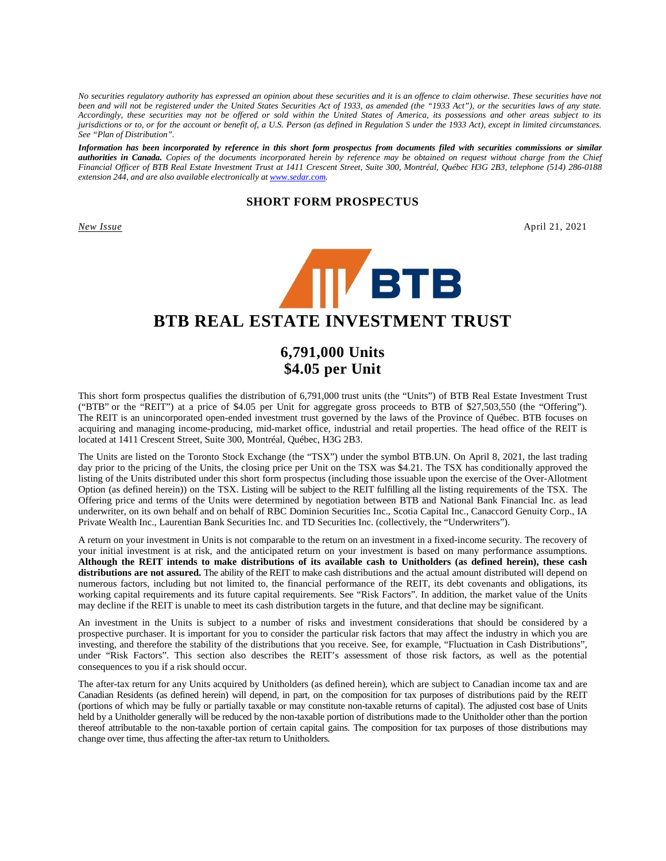*No securities regulatory authority has expressed an opinion about these securities and it is an offence to claim otherwise. These securities have not been and will not be registered under the United States Securities Act of 1933, as amended (the "1933 Act"), or the securities laws of any state. Accordingly, these securities may not be offered or sold within the United States of America, its possessions and other areas subject to its jurisdictions or to, or for the account or benefit of, a U.S. Person (as defined in Regulation S under the 1933 Act), except in limited circumstances. See "Plan of Distribution".*

*Information has been incorporated by reference in this short form prospectus from documents filed with securities commissions or similar authorities in Canada. Copies of the documents incorporated herein by reference may be obtained on request without charge from the Chief Financial Officer of BTB Real Estate Investment Trust at 1411 Crescent Street, Suite 300, Montréal, Québec H3G 2B3, telephone (514) 286-0188 extension 244, and are also available electronically at www.sedar.com.* 

# **SHORT FORM PROSPECTUS**

*New Issue* April 21, 2021



# **BTB REAL ESTATE INVESTMENT TRUST**

# **6,791,000 Units \$4.05 per Unit**

This short form prospectus qualifies the distribution of 6,791,000 trust units (the "Units") of BTB Real Estate Investment Trust ("BTB" or the "REIT") at a price of \$4.05 per Unit for aggregate gross proceeds to BTB of \$27,503,550 (the "Offering"). The REIT is an unincorporated open-ended investment trust governed by the laws of the Province of Québec. BTB focuses on acquiring and managing income-producing, mid-market office, industrial and retail properties. The head office of the REIT is located at 1411 Crescent Street, Suite 300, Montréal, Québec, H3G 2B3.

The Units are listed on the Toronto Stock Exchange (the "TSX") under the symbol BTB.UN. On April 8, 2021, the last trading day prior to the pricing of the Units, the closing price per Unit on the TSX was \$4.21. The TSX has conditionally approved the listing of the Units distributed under this short form prospectus (including those issuable upon the exercise of the Over-Allotment Option (as defined herein)) on the TSX. Listing will be subject to the REIT fulfilling all the listing requirements of the TSX. The Offering price and terms of the Units were determined by negotiation between BTB and National Bank Financial Inc. as lead underwriter, on its own behalf and on behalf of RBC Dominion Securities Inc., Scotia Capital Inc., Canaccord Genuity Corp., IA Private Wealth Inc., Laurentian Bank Securities Inc. and TD Securities Inc. (collectively, the "Underwriters").

A return on your investment in Units is not comparable to the return on an investment in a fixed-income security. The recovery of your initial investment is at risk, and the anticipated return on your investment is based on many performance assumptions. **Although the REIT intends to make distributions of its available cash to Unitholders (as defined herein), these cash distributions are not assured.** The ability of the REIT to make cash distributions and the actual amount distributed will depend on numerous factors, including but not limited to, the financial performance of the REIT, its debt covenants and obligations, its working capital requirements and its future capital requirements. See "Risk Factors". In addition, the market value of the Units may decline if the REIT is unable to meet its cash distribution targets in the future, and that decline may be significant.

An investment in the Units is subject to a number of risks and investment considerations that should be considered by a prospective purchaser. It is important for you to consider the particular risk factors that may affect the industry in which you are investing, and therefore the stability of the distributions that you receive. See, for example, "Fluctuation in Cash Distributions", under "Risk Factors". This section also describes the REIT's assessment of those risk factors, as well as the potential consequences to you if a risk should occur.

The after-tax return for any Units acquired by Unitholders (as defined herein), which are subject to Canadian income tax and are Canadian Residents (as defined herein) will depend, in part, on the composition for tax purposes of distributions paid by the REIT (portions of which may be fully or partially taxable or may constitute non-taxable returns of capital). The adjusted cost base of Units held by a Unitholder generally will be reduced by the non-taxable portion of distributions made to the Unitholder other than the portion thereof attributable to the non-taxable portion of certain capital gains. The composition for tax purposes of those distributions may change over time, thus affecting the after-tax return to Unitholders.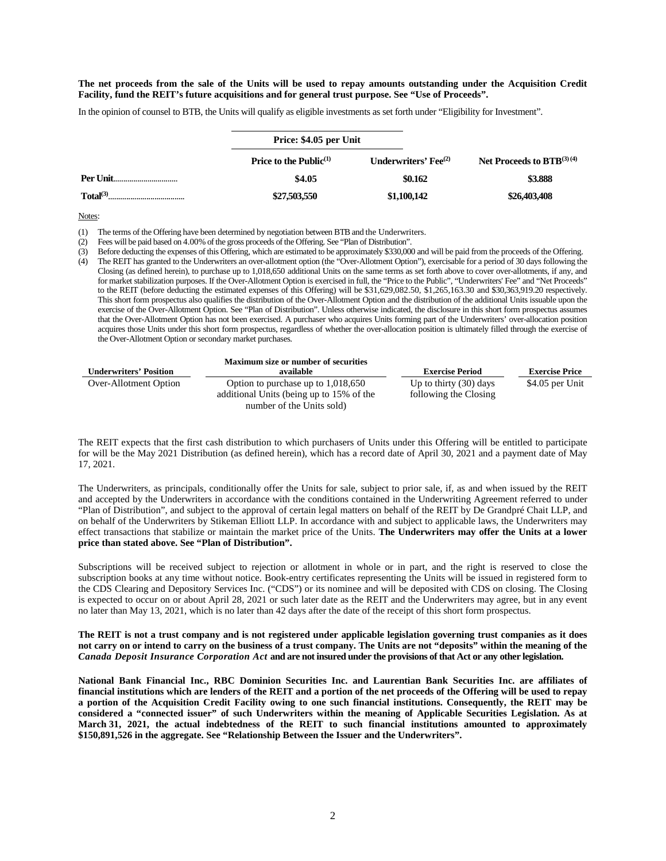#### **The net proceeds from the sale of the Units will be used to repay amounts outstanding under the Acquisition Credit Facility, fund the REIT's future acquisitions and for general trust purpose. See "Use of Proceeds".**

In the opinion of counsel to BTB, the Units will qualify as eligible investments as set forth under "Eligibility for Investment".

|                      | Price: \$4.05 per Unit              |                                 |                                |  |
|----------------------|-------------------------------------|---------------------------------|--------------------------------|--|
|                      | <b>Price to the Public</b> $^{(1)}$ | Underwriters' $\text{Fe}^{(2)}$ | Net Proceeds to $BTB^{(3)(4)}$ |  |
| <b>Per Unit</b>      | \$4.05                              | \$0.162                         | \$3.888                        |  |
| Total <sup>(3)</sup> | \$27,503,550                        | \$1,100,142                     | \$26,403,408                   |  |

Notes:

(1) The terms of the Offering have been determined by negotiation between BTB and the Underwriters.

(2) Fees will be paid based on 4.00% of the gross proceeds of the Offering. See "Plan of Distribution".

(3) Before deducting the expenses of this Offering, which are estimated to be approximately \$330,000 and will be paid from the proceeds of the Offering.

(4) The REIT has granted to the Underwriters an over-allotment option (the "Over-Allotment Option"), exercisable for a period of 30 days following the Closing (as defined herein), to purchase up to 1,018,650 additional Units on the same terms as set forth above to cover over-allotments, if any, and for market stabilization purposes. If the Over-Allotment Option is exercised in full, the "Price to the Public", "Underwriters' Fee" and "Net Proceeds" to the REIT (before deducting the estimated expenses of this Offering) will be \$31,629,082.50, \$1,265,163.30 and \$30,363,919.20 respectively. This short form prospectus also qualifies the distribution of the Over-Allotment Option and the distribution of the additional Units issuable upon the exercise of the Over-Allotment Option. See "Plan of Distribution". Unless otherwise indicated, the disclosure in this short form prospectus assumes that the Over-Allotment Option has not been exercised. A purchaser who acquires Units forming part of the Underwriters' over-allocation position acquires those Units under this short form prospectus, regardless of whether the over-allocation position is ultimately filled through the exercise of the Over-Allotment Option or secondary market purchases.

|                               | <b>Maximum size or number of securities</b>                                      |                                                   |                       |
|-------------------------------|----------------------------------------------------------------------------------|---------------------------------------------------|-----------------------|
| <b>Underwriters' Position</b> | available                                                                        | <b>Exercise Period</b>                            | <b>Exercise Price</b> |
| Over-Allotment Option         | Option to purchase up to $1,018,650$<br>additional Units (being up to 15% of the | Up to thirty $(30)$ days<br>following the Closing | \$4.05 per Unit       |
|                               | number of the Units sold)                                                        |                                                   |                       |

The REIT expects that the first cash distribution to which purchasers of Units under this Offering will be entitled to participate for will be the May 2021 Distribution (as defined herein), which has a record date of April 30, 2021 and a payment date of May 17, 2021.

The Underwriters, as principals, conditionally offer the Units for sale, subject to prior sale, if, as and when issued by the REIT and accepted by the Underwriters in accordance with the conditions contained in the Underwriting Agreement referred to under "Plan of Distribution", and subject to the approval of certain legal matters on behalf of the REIT by De Grandpré Chait LLP, and on behalf of the Underwriters by Stikeman Elliott LLP. In accordance with and subject to applicable laws, the Underwriters may effect transactions that stabilize or maintain the market price of the Units. **The Underwriters may offer the Units at a lower price than stated above. See "Plan of Distribution".**

Subscriptions will be received subject to rejection or allotment in whole or in part, and the right is reserved to close the subscription books at any time without notice. Book-entry certificates representing the Units will be issued in registered form to the CDS Clearing and Depository Services Inc. ("CDS") or its nominee and will be deposited with CDS on closing. The Closing is expected to occur on or about April 28, 2021 or such later date as the REIT and the Underwriters may agree, but in any event no later than May 13, 2021, which is no later than 42 days after the date of the receipt of this short form prospectus.

#### **The REIT is not a trust company and is not registered under applicable legislation governing trust companies as it does not carry on or intend to carry on the business of a trust company. The Units are not "deposits" within the meaning of the**  *Canada Deposit Insurance Corporation Act* **and are not insured under the provisions of that Act or any other legislation.**

**National Bank Financial Inc., RBC Dominion Securities Inc. and Laurentian Bank Securities Inc. are affiliates of financial institutions which are lenders of the REIT and a portion of the net proceeds of the Offering will be used to repay a portion of the Acquisition Credit Facility owing to one such financial institutions. Consequently, the REIT may be considered a "connected issuer" of such Underwriters within the meaning of Applicable Securities Legislation. As at March 31, 2021, the actual indebtedness of the REIT to such financial institutions amounted to approximately \$150,891,526 in the aggregate. See "Relationship Between the Issuer and the Underwriters".**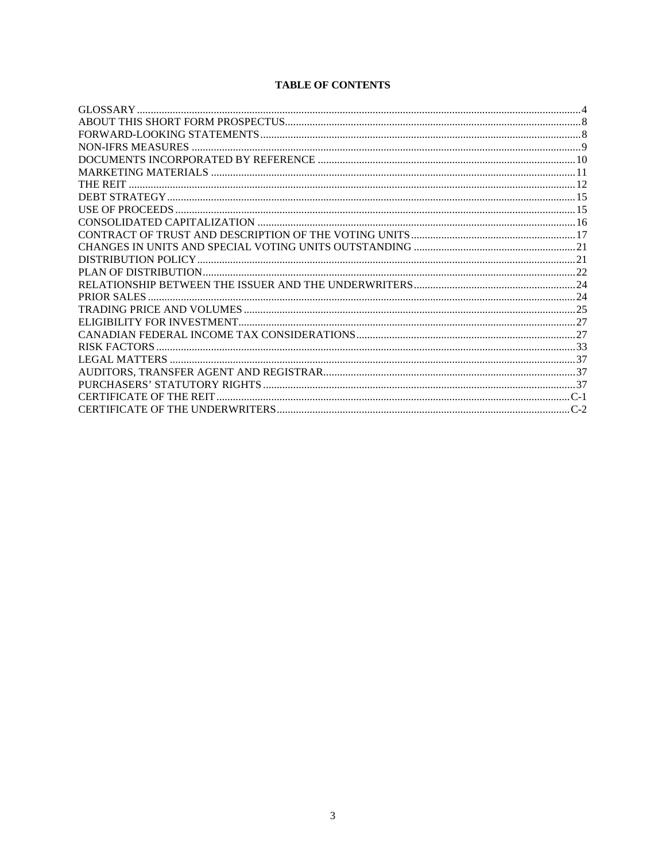# **TABLE OF CONTENTS**

| THE REIT |  |
|----------|--|
|          |  |
|          |  |
|          |  |
|          |  |
|          |  |
|          |  |
|          |  |
|          |  |
|          |  |
|          |  |
|          |  |
|          |  |
|          |  |
|          |  |
|          |  |
|          |  |
|          |  |
|          |  |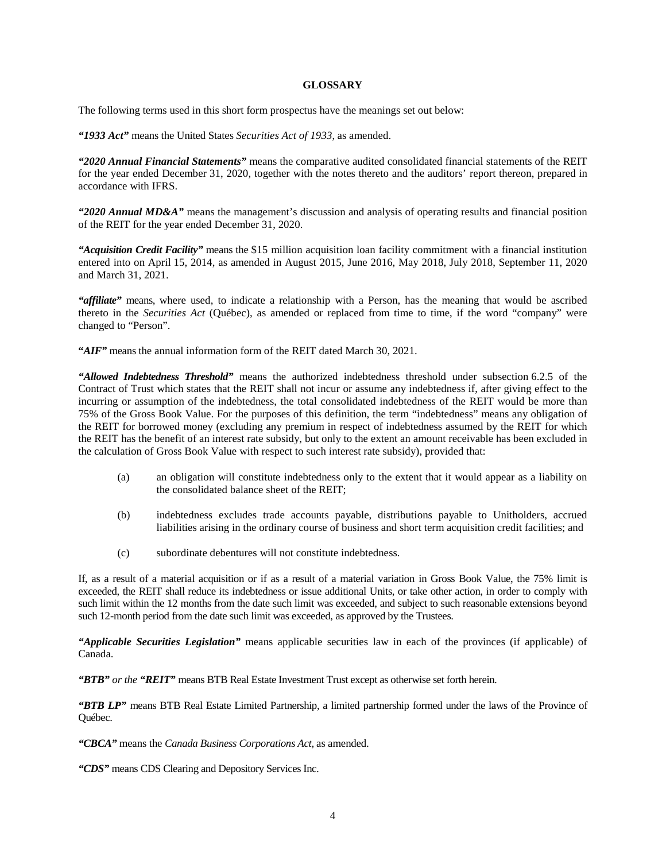# **GLOSSARY**

The following terms used in this short form prospectus have the meanings set out below:

*"1933 Act"* means the United States *Securities Act of 1933*, as amended.

*"2020 Annual Financial Statements"* means the comparative audited consolidated financial statements of the REIT for the year ended December 31, 2020, together with the notes thereto and the auditors' report thereon, prepared in accordance with IFRS.

*"2020 Annual MD&A"* means the management's discussion and analysis of operating results and financial position of the REIT for the year ended December 31, 2020.

*"Acquisition Credit Facility"* means the \$15 million acquisition loan facility commitment with a financial institution entered into on April 15, 2014, as amended in August 2015, June 2016, May 2018, July 2018, September 11, 2020 and March 31, 2021.

*"affiliate"* means, where used, to indicate a relationship with a Person, has the meaning that would be ascribed thereto in the *Securities Act* (Québec), as amended or replaced from time to time, if the word "company" were changed to "Person".

"*AIF*" means the annual information form of the REIT dated March 30, 2021.

*"Allowed Indebtedness Threshold"* means the authorized indebtedness threshold under subsection 6.2.5 of the Contract of Trust which states that the REIT shall not incur or assume any indebtedness if, after giving effect to the incurring or assumption of the indebtedness, the total consolidated indebtedness of the REIT would be more than 75% of the Gross Book Value. For the purposes of this definition, the term "indebtedness" means any obligation of the REIT for borrowed money (excluding any premium in respect of indebtedness assumed by the REIT for which the REIT has the benefit of an interest rate subsidy, but only to the extent an amount receivable has been excluded in the calculation of Gross Book Value with respect to such interest rate subsidy), provided that:

- (a) an obligation will constitute indebtedness only to the extent that it would appear as a liability on the consolidated balance sheet of the REIT;
- (b) indebtedness excludes trade accounts payable, distributions payable to Unitholders, accrued liabilities arising in the ordinary course of business and short term acquisition credit facilities; and
- (c) subordinate debentures will not constitute indebtedness.

If, as a result of a material acquisition or if as a result of a material variation in Gross Book Value, the 75% limit is exceeded, the REIT shall reduce its indebtedness or issue additional Units, or take other action, in order to comply with such limit within the 12 months from the date such limit was exceeded, and subject to such reasonable extensions beyond such 12-month period from the date such limit was exceeded, as approved by the Trustees.

*"Applicable Securities Legislation"* means applicable securities law in each of the provinces (if applicable) of Canada.

*"BTB" or the "REIT"* means BTB Real Estate Investment Trust except as otherwise set forth herein.

*"BTB LP"* means BTB Real Estate Limited Partnership, a limited partnership formed under the laws of the Province of Québec.

*"CBCA"* means the *Canada Business Corporations Act,* as amended.

*"CDS"* means CDS Clearing and Depository Services Inc.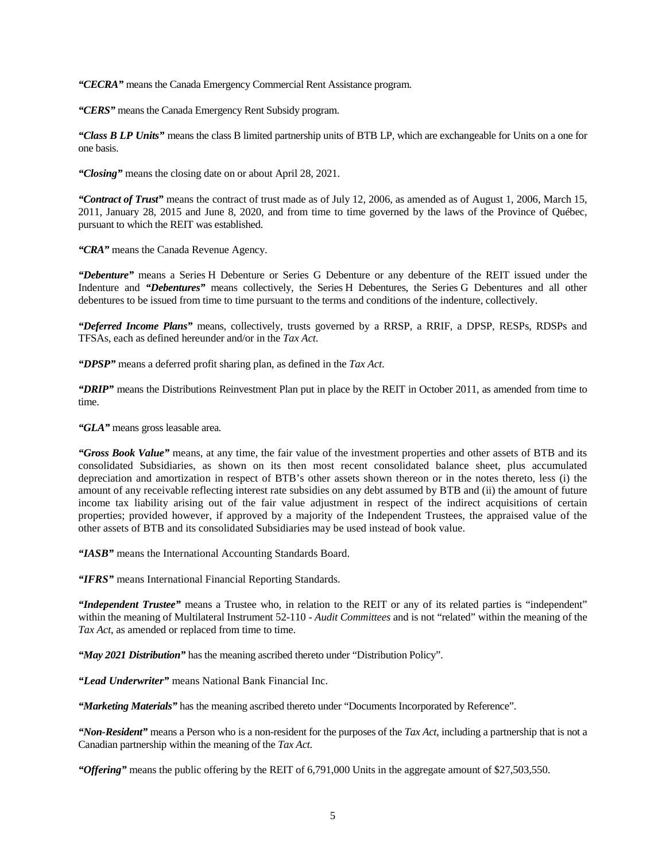*"CECRA"* means the Canada Emergency Commercial Rent Assistance program.

*"CERS"* means the Canada Emergency Rent Subsidy program.

*"Class B LP Units"* means the class B limited partnership units of BTB LP, which are exchangeable for Units on a one for one basis.

*"Closing"* means the closing date on or about April 28, 2021.

*"Contract of Trust"* means the contract of trust made as of July 12, 2006, as amended as of August 1, 2006, March 15, 2011, January 28, 2015 and June 8, 2020, and from time to time governed by the laws of the Province of Québec, pursuant to which the REIT was established.

*"CRA"* means the Canada Revenue Agency.

*"Debenture"* means a Series H Debenture or Series G Debenture or any debenture of the REIT issued under the Indenture and *"Debentures"* means collectively, the Series H Debentures, the Series G Debentures and all other debentures to be issued from time to time pursuant to the terms and conditions of the indenture, collectively.

*"Deferred Income Plans"* means, collectively, trusts governed by a RRSP, a RRIF, a DPSP, RESPs, RDSPs and TFSAs, each as defined hereunder and/or in the *Tax Act*.

*"DPSP"* means a deferred profit sharing plan, as defined in the *Tax Act*.

*"DRIP"* means the Distributions Reinvestment Plan put in place by the REIT in October 2011, as amended from time to time.

*"GLA"* means gross leasable area*.*

*"Gross Book Value"* means, at any time, the fair value of the investment properties and other assets of BTB and its consolidated Subsidiaries, as shown on its then most recent consolidated balance sheet, plus accumulated depreciation and amortization in respect of BTB's other assets shown thereon or in the notes thereto, less (i) the amount of any receivable reflecting interest rate subsidies on any debt assumed by BTB and (ii) the amount of future income tax liability arising out of the fair value adjustment in respect of the indirect acquisitions of certain properties; provided however, if approved by a majority of the Independent Trustees, the appraised value of the other assets of BTB and its consolidated Subsidiaries may be used instead of book value.

*"IASB"* means the International Accounting Standards Board.

*"IFRS"* means International Financial Reporting Standards.

*"Independent Trustee"* means a Trustee who, in relation to the REIT or any of its related parties is "independent" within the meaning of Multilateral Instrument 52-110 - *Audit Committees* and is not "related" within the meaning of the *Tax Act*, as amended or replaced from time to time.

*"May 2021 Distribution"* has the meaning ascribed thereto under "Distribution Policy".

*"Lead Underwriter"* means National Bank Financial Inc.

*"Marketing Materials"* has the meaning ascribed thereto under "Documents Incorporated by Reference".

*"Non-Resident"* means a Person who is a non-resident for the purposes of the *Tax Act*, including a partnership that is not a Canadian partnership within the meaning of the *Tax Act*.

*"Offering"* means the public offering by the REIT of 6,791,000 Units in the aggregate amount of \$27,503,550.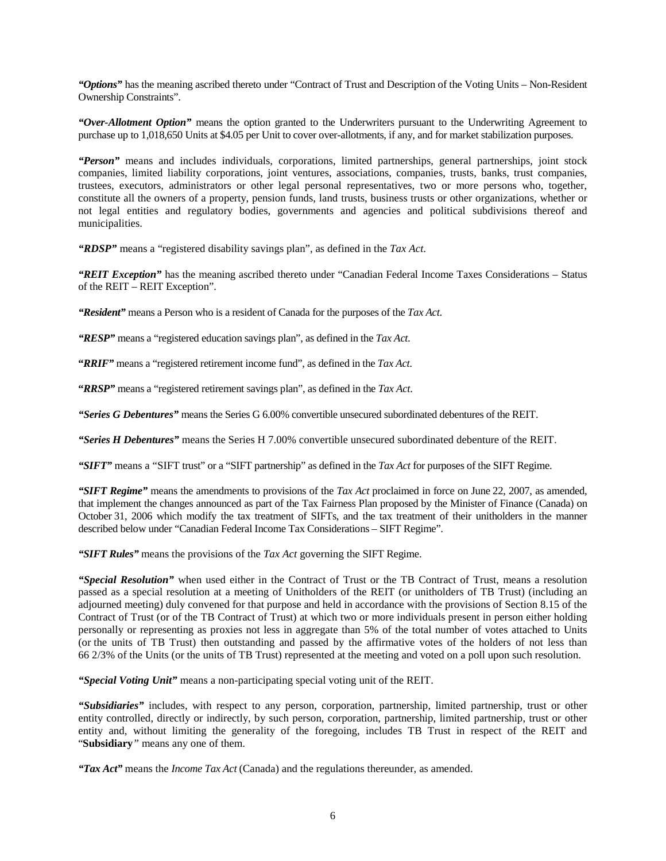*"Options"* has the meaning ascribed thereto under "Contract of Trust and Description of the Voting Units – Non-Resident Ownership Constraints".

*"Over-Allotment Option"* means the option granted to the Underwriters pursuant to the Underwriting Agreement to purchase up to 1,018,650 Units at \$4.05 per Unit to cover over-allotments, if any, and for market stabilization purposes.

*"Person"* means and includes individuals, corporations, limited partnerships, general partnerships, joint stock companies, limited liability corporations, joint ventures, associations, companies, trusts, banks, trust companies, trustees, executors, administrators or other legal personal representatives, two or more persons who, together, constitute all the owners of a property, pension funds, land trusts, business trusts or other organizations, whether or not legal entities and regulatory bodies, governments and agencies and political subdivisions thereof and municipalities.

*"RDSP"* means a "registered disability savings plan", as defined in the *Tax Act*.

*"REIT Exception"* has the meaning ascribed thereto under "Canadian Federal Income Taxes Considerations – Status of the REIT – REIT Exception".

*"Resident"* means a Person who is a resident of Canada for the purposes of the *Tax Act*.

*"RESP"* means a "registered education savings plan", as defined in the *Tax Act*.

**"***RRIF"* means a "registered retirement income fund", as defined in the *Tax Act*.

**"***RRSP"* means a "registered retirement savings plan", as defined in the *Tax Act*.

*"Series G Debentures"* means the Series G 6.00% convertible unsecured subordinated debentures of the REIT.

*"Series H Debentures"* means the Series H 7.00% convertible unsecured subordinated debenture of the REIT.

*"SIFT"* means a "SIFT trust" or a "SIFT partnership" as defined in the *Tax Act* for purposes of the SIFT Regime.

*"SIFT Regime"* means the amendments to provisions of the *Tax Act* proclaimed in force on June 22, 2007, as amended, that implement the changes announced as part of the Tax Fairness Plan proposed by the Minister of Finance (Canada) on October 31, 2006 which modify the tax treatment of SIFTs, and the tax treatment of their unitholders in the manner described below under "Canadian Federal Income Tax Considerations – SIFT Regime".

*"SIFT Rules"* means the provisions of the *Tax Act* governing the SIFT Regime.

*"Special Resolution"* when used either in the Contract of Trust or the TB Contract of Trust, means a resolution passed as a special resolution at a meeting of Unitholders of the REIT (or unitholders of TB Trust) (including an adjourned meeting) duly convened for that purpose and held in accordance with the provisions of Section 8.15 of the Contract of Trust (or of the TB Contract of Trust) at which two or more individuals present in person either holding personally or representing as proxies not less in aggregate than 5% of the total number of votes attached to Units (or the units of TB Trust) then outstanding and passed by the affirmative votes of the holders of not less than 66 2/3% of the Units (or the units of TB Trust) represented at the meeting and voted on a poll upon such resolution.

*"Special Voting Unit"* means a non-participating special voting unit of the REIT.

*"Subsidiaries"* includes, with respect to any person, corporation, partnership, limited partnership, trust or other entity controlled, directly or indirectly, by such person, corporation, partnership, limited partnership, trust or other entity and, without limiting the generality of the foregoing, includes TB Trust in respect of the REIT and "**Subsidiary***"* means any one of them.

*"Tax Act"* means the *Income Tax Act* (Canada) and the regulations thereunder, as amended.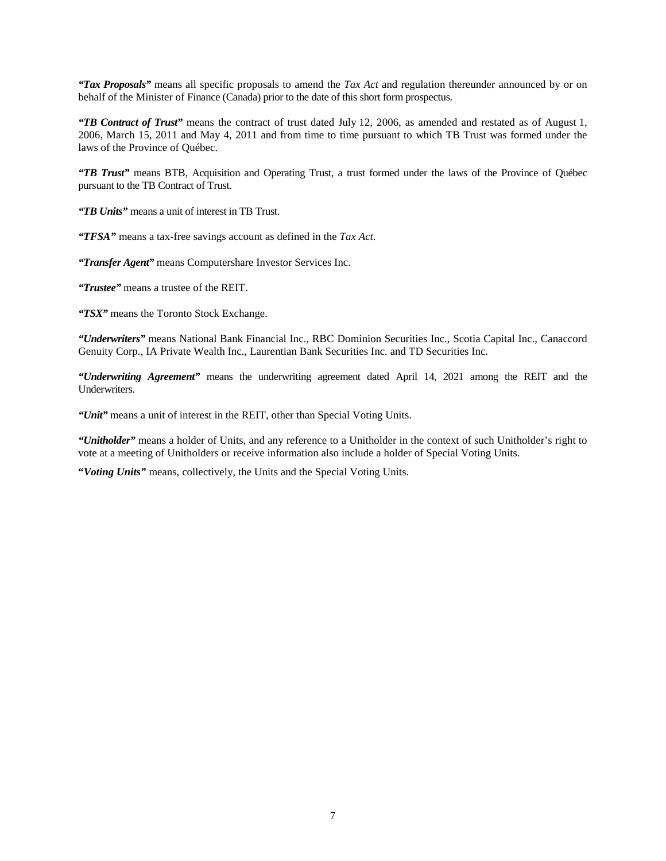*"Tax Proposals"* means all specific proposals to amend the *Tax Act* and regulation thereunder announced by or on behalf of the Minister of Finance (Canada) prior to the date of this short form prospectus.

*"TB Contract of Trust"* means the contract of trust dated July 12, 2006, as amended and restated as of August 1, 2006, March 15, 2011 and May 4, 2011 and from time to time pursuant to which TB Trust was formed under the laws of the Province of Québec.

*"TB Trust"* means BTB, Acquisition and Operating Trust, a trust formed under the laws of the Province of Québec pursuant to the TB Contract of Trust.

*"TB Units"* means a unit of interest in TB Trust.

*"TFSA"* means a tax-free savings account as defined in the *Tax Act*.

*"Transfer Agent"* means Computershare Investor Services Inc.

*"Trustee"* means a trustee of the REIT.

*"TSX"* means the Toronto Stock Exchange.

*"Underwriters"* means National Bank Financial Inc., RBC Dominion Securities Inc., Scotia Capital Inc., Canaccord Genuity Corp., IA Private Wealth Inc., Laurentian Bank Securities Inc. and TD Securities Inc.

*"Underwriting Agreement"* means the underwriting agreement dated April 14, 2021 among the REIT and the Underwriters.

*"Unit"* means a unit of interest in the REIT, other than Special Voting Units.

*"Unitholder"* means a holder of Units, and any reference to a Unitholder in the context of such Unitholder's right to vote at a meeting of Unitholders or receive information also include a holder of Special Voting Units.

**"***Voting Units"* means, collectively, the Units and the Special Voting Units.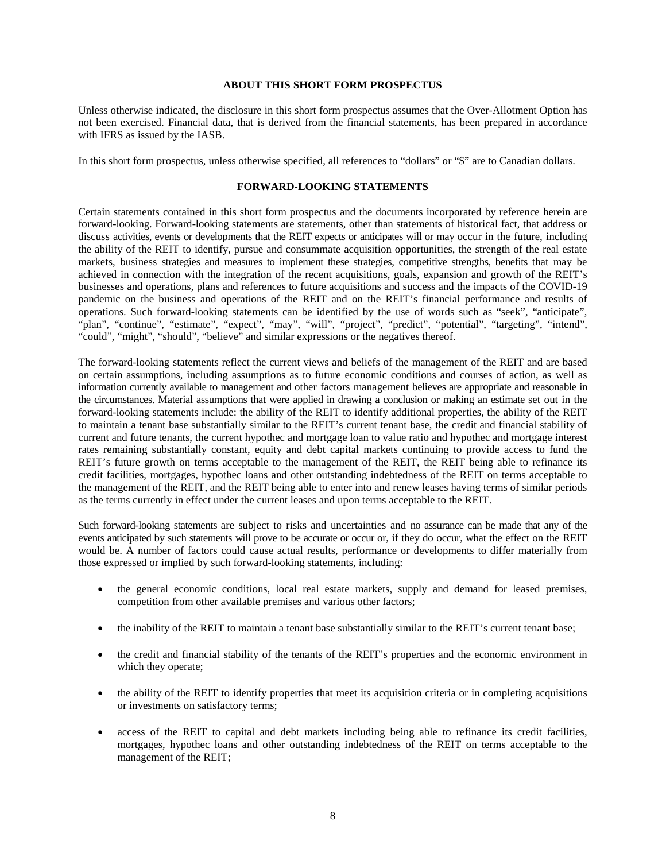# **ABOUT THIS SHORT FORM PROSPECTUS**

Unless otherwise indicated, the disclosure in this short form prospectus assumes that the Over-Allotment Option has not been exercised. Financial data, that is derived from the financial statements, has been prepared in accordance with IFRS as issued by the IASB.

In this short form prospectus, unless otherwise specified, all references to "dollars" or "\$" are to Canadian dollars.

# **FORWARD-LOOKING STATEMENTS**

Certain statements contained in this short form prospectus and the documents incorporated by reference herein are forward-looking. Forward-looking statements are statements, other than statements of historical fact, that address or discuss activities, events or developments that the REIT expects or anticipates will or may occur in the future, including the ability of the REIT to identify, pursue and consummate acquisition opportunities, the strength of the real estate markets, business strategies and measures to implement these strategies, competitive strengths, benefits that may be achieved in connection with the integration of the recent acquisitions, goals, expansion and growth of the REIT's businesses and operations, plans and references to future acquisitions and success and the impacts of the COVID-19 pandemic on the business and operations of the REIT and on the REIT's financial performance and results of operations. Such forward-looking statements can be identified by the use of words such as "seek", "anticipate", "plan", "continue", "estimate", "expect", "may", "will", "project", "predict", "potential", "targeting", "intend", "could", "might", "should", "believe" and similar expressions or the negatives thereof.

The forward-looking statements reflect the current views and beliefs of the management of the REIT and are based on certain assumptions, including assumptions as to future economic conditions and courses of action, as well as information currently available to management and other factors management believes are appropriate and reasonable in the circumstances. Material assumptions that were applied in drawing a conclusion or making an estimate set out in the forward-looking statements include: the ability of the REIT to identify additional properties, the ability of the REIT to maintain a tenant base substantially similar to the REIT's current tenant base, the credit and financial stability of current and future tenants, the current hypothec and mortgage loan to value ratio and hypothec and mortgage interest rates remaining substantially constant, equity and debt capital markets continuing to provide access to fund the REIT's future growth on terms acceptable to the management of the REIT, the REIT being able to refinance its credit facilities, mortgages, hypothec loans and other outstanding indebtedness of the REIT on terms acceptable to the management of the REIT, and the REIT being able to enter into and renew leases having terms of similar periods as the terms currently in effect under the current leases and upon terms acceptable to the REIT.

Such forward-looking statements are subject to risks and uncertainties and no assurance can be made that any of the events anticipated by such statements will prove to be accurate or occur or, if they do occur, what the effect on the REIT would be. A number of factors could cause actual results, performance or developments to differ materially from those expressed or implied by such forward-looking statements, including:

- the general economic conditions, local real estate markets, supply and demand for leased premises, competition from other available premises and various other factors;
- the inability of the REIT to maintain a tenant base substantially similar to the REIT's current tenant base;
- the credit and financial stability of the tenants of the REIT's properties and the economic environment in which they operate;
- the ability of the REIT to identify properties that meet its acquisition criteria or in completing acquisitions or investments on satisfactory terms;
- access of the REIT to capital and debt markets including being able to refinance its credit facilities, mortgages, hypothec loans and other outstanding indebtedness of the REIT on terms acceptable to the management of the REIT;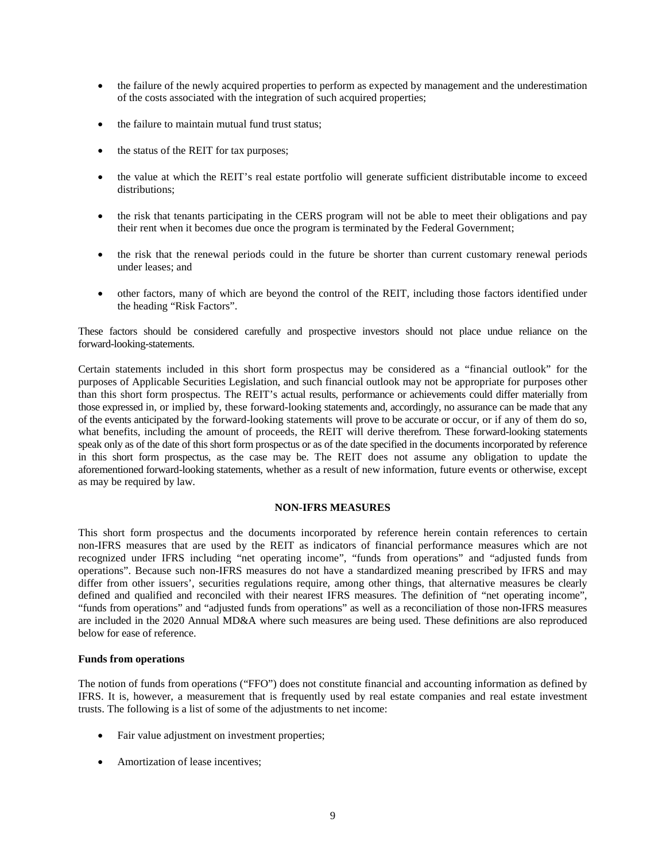- the failure of the newly acquired properties to perform as expected by management and the underestimation of the costs associated with the integration of such acquired properties;
- the failure to maintain mutual fund trust status;
- the status of the REIT for tax purposes;
- the value at which the REIT's real estate portfolio will generate sufficient distributable income to exceed distributions;
- the risk that tenants participating in the CERS program will not be able to meet their obligations and pay their rent when it becomes due once the program is terminated by the Federal Government;
- the risk that the renewal periods could in the future be shorter than current customary renewal periods under leases; and
- other factors, many of which are beyond the control of the REIT, including those factors identified under the heading "Risk Factors".

These factors should be considered carefully and prospective investors should not place undue reliance on the forward-looking-statements.

Certain statements included in this short form prospectus may be considered as a "financial outlook" for the purposes of Applicable Securities Legislation, and such financial outlook may not be appropriate for purposes other than this short form prospectus. The REIT's actual results, performance or achievements could differ materially from those expressed in, or implied by, these forward-looking statements and, accordingly, no assurance can be made that any of the events anticipated by the forward-looking statements will prove to be accurate or occur, or if any of them do so, what benefits, including the amount of proceeds, the REIT will derive therefrom. These forward-looking statements speak only as of the date of this short form prospectus or as of the date specified in the documents incorporated by reference in this short form prospectus, as the case may be. The REIT does not assume any obligation to update the aforementioned forward-looking statements, whether as a result of new information, future events or otherwise, except as may be required by law.

# **NON-IFRS MEASURES**

This short form prospectus and the documents incorporated by reference herein contain references to certain non-IFRS measures that are used by the REIT as indicators of financial performance measures which are not recognized under IFRS including "net operating income", "funds from operations" and "adjusted funds from operations". Because such non-IFRS measures do not have a standardized meaning prescribed by IFRS and may differ from other issuers', securities regulations require, among other things, that alternative measures be clearly defined and qualified and reconciled with their nearest IFRS measures. The definition of "net operating income", "funds from operations" and "adjusted funds from operations" as well as a reconciliation of those non-IFRS measures are included in the 2020 Annual MD&A where such measures are being used. These definitions are also reproduced below for ease of reference.

# **Funds from operations**

The notion of funds from operations ("FFO") does not constitute financial and accounting information as defined by IFRS. It is, however, a measurement that is frequently used by real estate companies and real estate investment trusts. The following is a list of some of the adjustments to net income:

- Fair value adjustment on investment properties;
- Amortization of lease incentives;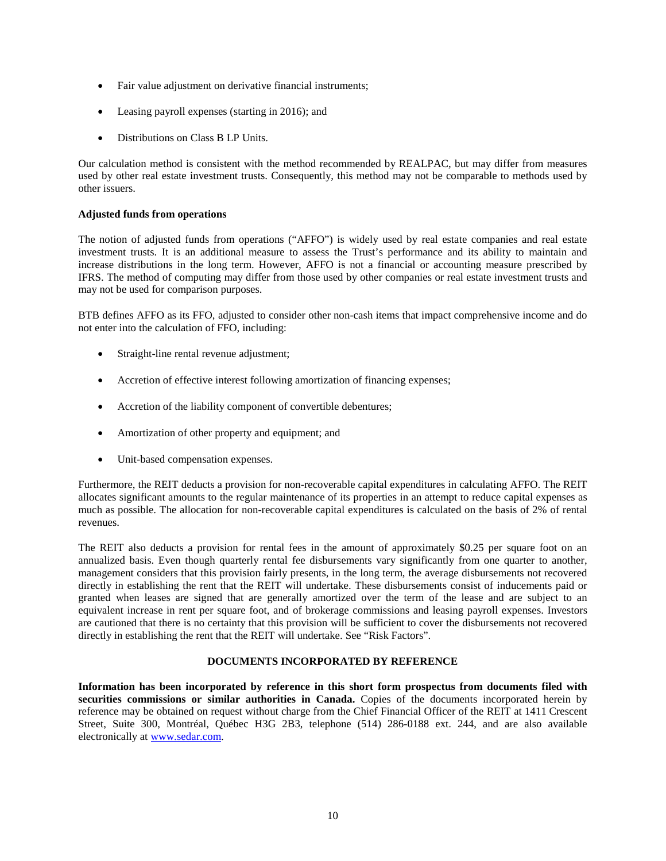- Fair value adjustment on derivative financial instruments;
- Leasing payroll expenses (starting in 2016); and
- Distributions on Class B LP Units.

Our calculation method is consistent with the method recommended by REALPAC, but may differ from measures used by other real estate investment trusts. Consequently, this method may not be comparable to methods used by other issuers.

# **Adjusted funds from operations**

The notion of adjusted funds from operations ("AFFO") is widely used by real estate companies and real estate investment trusts. It is an additional measure to assess the Trust's performance and its ability to maintain and increase distributions in the long term. However, AFFO is not a financial or accounting measure prescribed by IFRS. The method of computing may differ from those used by other companies or real estate investment trusts and may not be used for comparison purposes.

BTB defines AFFO as its FFO, adjusted to consider other non-cash items that impact comprehensive income and do not enter into the calculation of FFO, including:

- Straight-line rental revenue adjustment;
- Accretion of effective interest following amortization of financing expenses;
- Accretion of the liability component of convertible debentures;
- Amortization of other property and equipment; and
- Unit-based compensation expenses.

Furthermore, the REIT deducts a provision for non-recoverable capital expenditures in calculating AFFO. The REIT allocates significant amounts to the regular maintenance of its properties in an attempt to reduce capital expenses as much as possible. The allocation for non-recoverable capital expenditures is calculated on the basis of 2% of rental revenues.

The REIT also deducts a provision for rental fees in the amount of approximately \$0.25 per square foot on an annualized basis. Even though quarterly rental fee disbursements vary significantly from one quarter to another, management considers that this provision fairly presents, in the long term, the average disbursements not recovered directly in establishing the rent that the REIT will undertake. These disbursements consist of inducements paid or granted when leases are signed that are generally amortized over the term of the lease and are subject to an equivalent increase in rent per square foot, and of brokerage commissions and leasing payroll expenses. Investors are cautioned that there is no certainty that this provision will be sufficient to cover the disbursements not recovered directly in establishing the rent that the REIT will undertake. See "Risk Factors".

# **DOCUMENTS INCORPORATED BY REFERENCE**

**Information has been incorporated by reference in this short form prospectus from documents filed with**  securities commissions or similar authorities in Canada. Copies of the documents incorporated herein by reference may be obtained on request without charge from the Chief Financial Officer of the REIT at 1411 Crescent Street, Suite 300, Montréal, Québec H3G 2B3, telephone (514) 286-0188 ext. 244, and are also available electronically at www.sedar.com.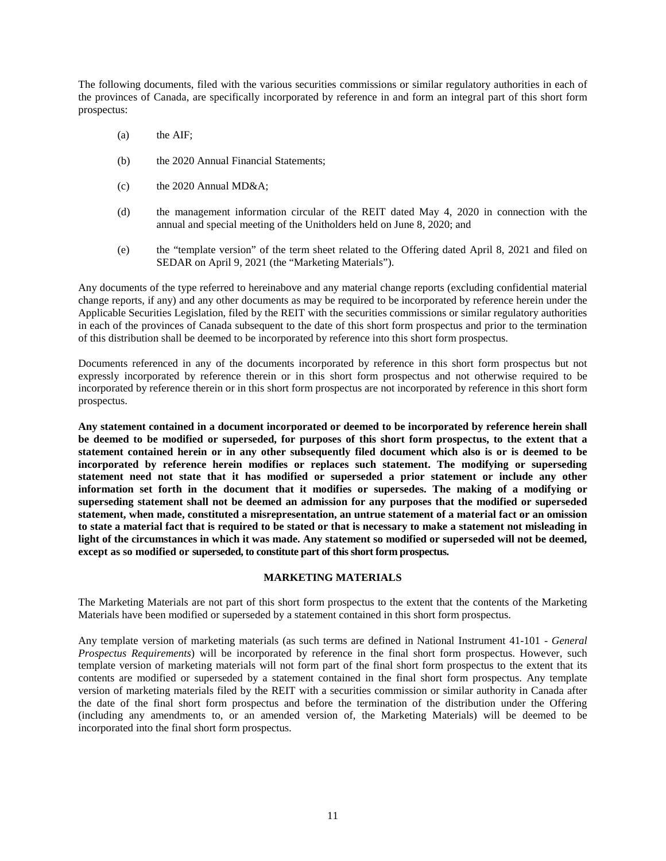The following documents, filed with the various securities commissions or similar regulatory authorities in each of the provinces of Canada, are specifically incorporated by reference in and form an integral part of this short form prospectus:

- (a) the AIF;
- (b) the 2020 Annual Financial Statements;
- (c) the 2020 Annual MD&A;
- (d) the management information circular of the REIT dated May 4, 2020 in connection with the annual and special meeting of the Unitholders held on June 8, 2020; and
- (e) the "template version" of the term sheet related to the Offering dated April 8, 2021 and filed on SEDAR on April 9, 2021 (the "Marketing Materials").

Any documents of the type referred to hereinabove and any material change reports (excluding confidential material change reports, if any) and any other documents as may be required to be incorporated by reference herein under the Applicable Securities Legislation, filed by the REIT with the securities commissions or similar regulatory authorities in each of the provinces of Canada subsequent to the date of this short form prospectus and prior to the termination of this distribution shall be deemed to be incorporated by reference into this short form prospectus.

Documents referenced in any of the documents incorporated by reference in this short form prospectus but not expressly incorporated by reference therein or in this short form prospectus and not otherwise required to be incorporated by reference therein or in this short form prospectus are not incorporated by reference in this short form prospectus.

**Any statement contained in a document incorporated or deemed to be incorporated by reference herein shall be deemed to be modified or superseded, for purposes of this short form prospectus, to the extent that a statement contained herein or in any other subsequently filed document which also is or is deemed to be incorporated by reference herein modifies or replaces such statement. The modifying or superseding statement need not state that it has modified or superseded a prior statement or include any other information set forth in the document that it modifies or supersedes. The making of a modifying or superseding statement shall not be deemed an admission for any purposes that the modified or superseded statement, when made, constituted a misrepresentation, an untrue statement of a material fact or an omission to state a material fact that is required to be stated or that is necessary to make a statement not misleading in light of the circumstances in which it was made. Any statement so modified or superseded will not be deemed, except as so modified or superseded, to constitute part of this short form prospectus.** 

# **MARKETING MATERIALS**

The Marketing Materials are not part of this short form prospectus to the extent that the contents of the Marketing Materials have been modified or superseded by a statement contained in this short form prospectus.

Any template version of marketing materials (as such terms are defined in National Instrument 41-101 - *General Prospectus Requirements*) will be incorporated by reference in the final short form prospectus. However, such template version of marketing materials will not form part of the final short form prospectus to the extent that its contents are modified or superseded by a statement contained in the final short form prospectus. Any template version of marketing materials filed by the REIT with a securities commission or similar authority in Canada after the date of the final short form prospectus and before the termination of the distribution under the Offering (including any amendments to, or an amended version of, the Marketing Materials) will be deemed to be incorporated into the final short form prospectus.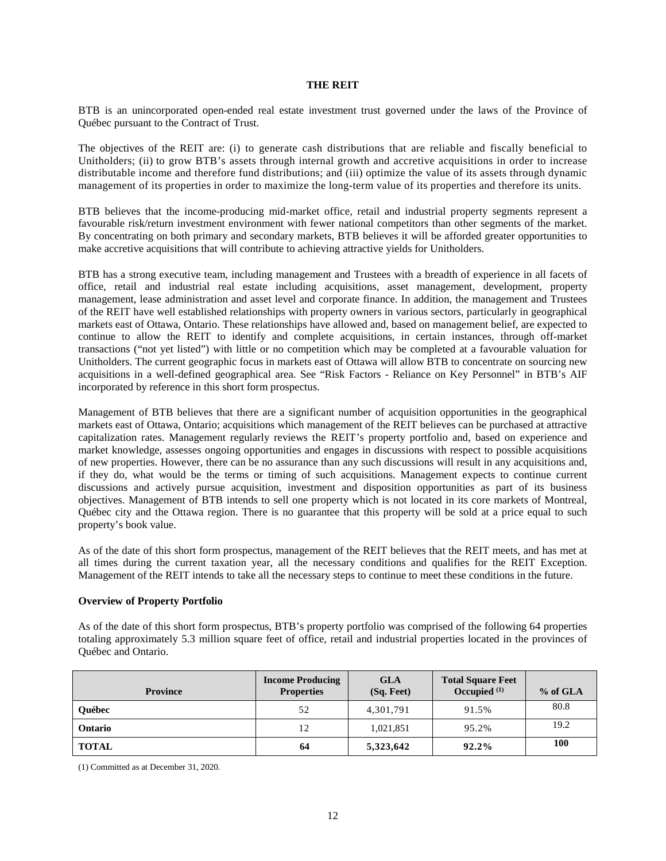# **THE REIT**

BTB is an unincorporated open-ended real estate investment trust governed under the laws of the Province of Québec pursuant to the Contract of Trust.

The objectives of the REIT are: (i) to generate cash distributions that are reliable and fiscally beneficial to Unitholders; (ii) to grow BTB's assets through internal growth and accretive acquisitions in order to increase distributable income and therefore fund distributions; and (iii) optimize the value of its assets through dynamic management of its properties in order to maximize the long-term value of its properties and therefore its units.

BTB believes that the income-producing mid-market office, retail and industrial property segments represent a favourable risk/return investment environment with fewer national competitors than other segments of the market. By concentrating on both primary and secondary markets, BTB believes it will be afforded greater opportunities to make accretive acquisitions that will contribute to achieving attractive yields for Unitholders.

BTB has a strong executive team, including management and Trustees with a breadth of experience in all facets of office, retail and industrial real estate including acquisitions, asset management, development, property management, lease administration and asset level and corporate finance. In addition, the management and Trustees of the REIT have well established relationships with property owners in various sectors, particularly in geographical markets east of Ottawa, Ontario. These relationships have allowed and, based on management belief, are expected to continue to allow the REIT to identify and complete acquisitions, in certain instances, through off-market transactions ("not yet listed") with little or no competition which may be completed at a favourable valuation for Unitholders. The current geographic focus in markets east of Ottawa will allow BTB to concentrate on sourcing new acquisitions in a well-defined geographical area. See "Risk Factors - Reliance on Key Personnel" in BTB's AIF incorporated by reference in this short form prospectus.

Management of BTB believes that there are a significant number of acquisition opportunities in the geographical markets east of Ottawa, Ontario; acquisitions which management of the REIT believes can be purchased at attractive capitalization rates. Management regularly reviews the REIT's property portfolio and, based on experience and market knowledge, assesses ongoing opportunities and engages in discussions with respect to possible acquisitions of new properties. However, there can be no assurance than any such discussions will result in any acquisitions and, if they do, what would be the terms or timing of such acquisitions. Management expects to continue current discussions and actively pursue acquisition, investment and disposition opportunities as part of its business objectives. Management of BTB intends to sell one property which is not located in its core markets of Montreal, Québec city and the Ottawa region. There is no guarantee that this property will be sold at a price equal to such property's book value.

As of the date of this short form prospectus, management of the REIT believes that the REIT meets, and has met at all times during the current taxation year, all the necessary conditions and qualifies for the REIT Exception. Management of the REIT intends to take all the necessary steps to continue to meet these conditions in the future.

# **Overview of Property Portfolio**

As of the date of this short form prospectus, BTB's property portfolio was comprised of the following 64 properties totaling approximately 5.3 million square feet of office, retail and industrial properties located in the provinces of Québec and Ontario.

| <b>Province</b> | <b>Income Producing</b><br><b>Properties</b> | <b>GLA</b><br>$(Sq. \text{ feet})$ | <b>Total Square Feet</b><br>Occupied $(1)$ | $%$ of GLA |
|-----------------|----------------------------------------------|------------------------------------|--------------------------------------------|------------|
| <b>Ouébec</b>   | 52                                           | 4,301,791                          | 91.5%                                      | 80.8       |
| <b>Ontario</b>  | 12                                           | 1,021,851                          | 95.2%                                      | 19.2       |
| <b>TOTAL</b>    | 64                                           | 5,323,642                          | 92.2%                                      | 100        |

(1) Committed as at December 31, 2020.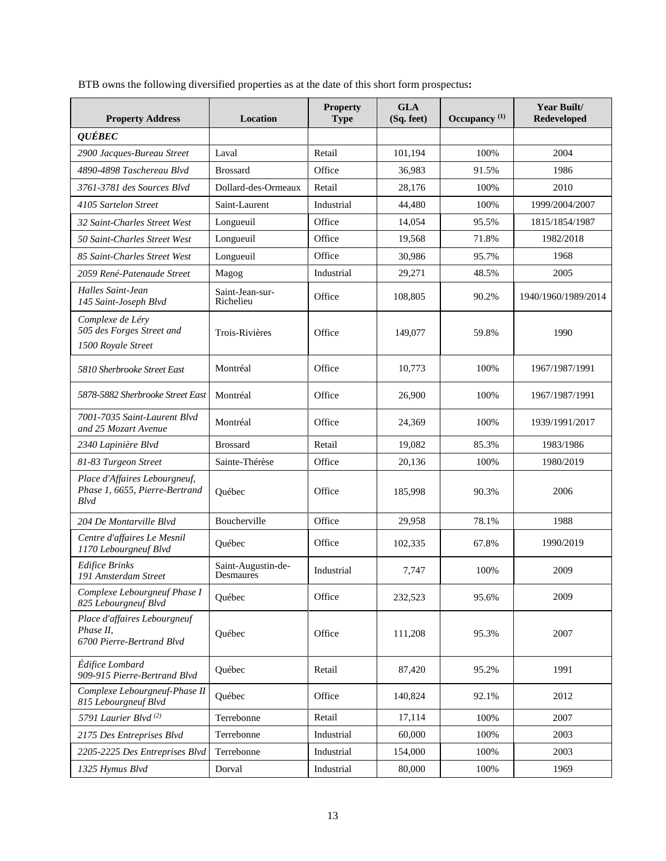BTB owns the following diversified properties as at the date of this short form prospectus**:** 

| <b>Property Address</b>                                                 | Location                        | <b>Property</b><br><b>Type</b> | <b>GLA</b><br>(Sq. feet) | Occupancy <sup>(1)</sup> | Year Built/<br><b>Redeveloped</b> |
|-------------------------------------------------------------------------|---------------------------------|--------------------------------|--------------------------|--------------------------|-----------------------------------|
| <b>QUÉBEC</b>                                                           |                                 |                                |                          |                          |                                   |
| 2900 Jacques-Bureau Street                                              | Laval                           | Retail                         | 101,194                  | 100%                     | 2004                              |
| 4890-4898 Taschereau Blvd                                               | <b>Brossard</b>                 | Office                         | 36,983                   | 91.5%                    | 1986                              |
| 3761-3781 des Sources Blvd                                              | Dollard-des-Ormeaux             | Retail                         | 28,176                   | 100%                     | 2010                              |
| 4105 Sartelon Street                                                    | Saint-Laurent                   | Industrial                     | 44,480                   | 100%                     | 1999/2004/2007                    |
| 32 Saint-Charles Street West                                            | Longueuil                       | Office                         | 14.054                   | 95.5%                    | 1815/1854/1987                    |
| 50 Saint-Charles Street West                                            | Longueuil                       | Office                         | 19,568                   | 71.8%                    | 1982/2018                         |
| 85 Saint-Charles Street West                                            | Longueuil                       | Office                         | 30,986                   | 95.7%                    | 1968                              |
| 2059 René-Patenaude Street                                              | Magog                           | Industrial                     | 29,271                   | 48.5%                    | 2005                              |
| Halles Saint-Jean<br>145 Saint-Joseph Blvd                              | Saint-Jean-sur-<br>Richelieu    | Office                         | 108,805                  | 90.2%                    | 1940/1960/1989/2014               |
| Complexe de Léry<br>505 des Forges Street and<br>1500 Royale Street     | Trois-Rivières                  | Office                         | 149,077                  | 59.8%                    | 1990                              |
| 5810 Sherbrooke Street East                                             | Montréal                        | Office                         | 10,773                   | 100%                     | 1967/1987/1991                    |
| 5878-5882 Sherbrooke Street East                                        | Montréal                        | Office                         | 26,900                   | 100%                     | 1967/1987/1991                    |
| 7001-7035 Saint-Laurent Blvd<br>and 25 Mozart Avenue                    | Montréal                        | Office                         | 24,369                   | 100%                     | 1939/1991/2017                    |
| 2340 Lapinière Blvd                                                     | <b>Brossard</b>                 | Retail                         | 19,082                   | 85.3%                    | 1983/1986                         |
| 81-83 Turgeon Street                                                    | Sainte-Thérèse                  | Office                         | 20,136                   | 100%                     | 1980/2019                         |
| Place d'Affaires Lebourgneuf,<br>Phase 1, 6655, Pierre-Bertrand<br>Blvd | Québec                          | Office                         | 185,998                  | 90.3%                    | 2006                              |
| 204 De Montarville Blvd                                                 | <b>Boucherville</b>             | Office                         | 29,958                   | 78.1%                    | 1988                              |
| Centre d'affaires Le Mesnil<br>1170 Lebourgneuf Blvd                    | Ouébec                          | Office                         | 102,335                  | 67.8%                    | 1990/2019                         |
| <b>Edifice Brinks</b><br>191 Amsterdam Street                           | Saint-Augustin-de-<br>Desmaures | Industrial                     | 7,747                    | 100%                     | 2009                              |
| Complexe Lebourgneuf Phase I<br>825 Lebourgneuf Blvd                    | Québec                          | Office                         | 232,523                  | 95.6%                    | 2009                              |
| Place d'affaires Lebourgneuf<br>Phase II,<br>6700 Pierre-Bertrand Blvd  | Québec                          | Office                         | 111,208                  | 95.3%                    | 2007                              |
| Édifice Lombard<br>909-915 Pierre-Bertrand Blvd                         | Québec                          | Retail                         | 87,420                   | 95.2%                    | 1991                              |
| Complexe Lebourgneuf-Phase II<br>815 Lebourgneuf Blvd                   | Québec                          | Office                         | 140,824                  | 92.1%                    | 2012                              |
| 5791 Laurier Blvd <sup>(2)</sup>                                        | Terrebonne                      | Retail                         | 17,114                   | 100%                     | 2007                              |
| 2175 Des Entreprises Blvd                                               | Terrebonne                      | Industrial                     | 60,000                   | 100%                     | 2003                              |
| 2205-2225 Des Entreprises Blvd                                          | Terrebonne                      | Industrial                     | 154,000                  | 100%                     | 2003                              |
| 1325 Hymus Blvd                                                         | Dorval                          | Industrial                     | 80,000                   | 100%                     | 1969                              |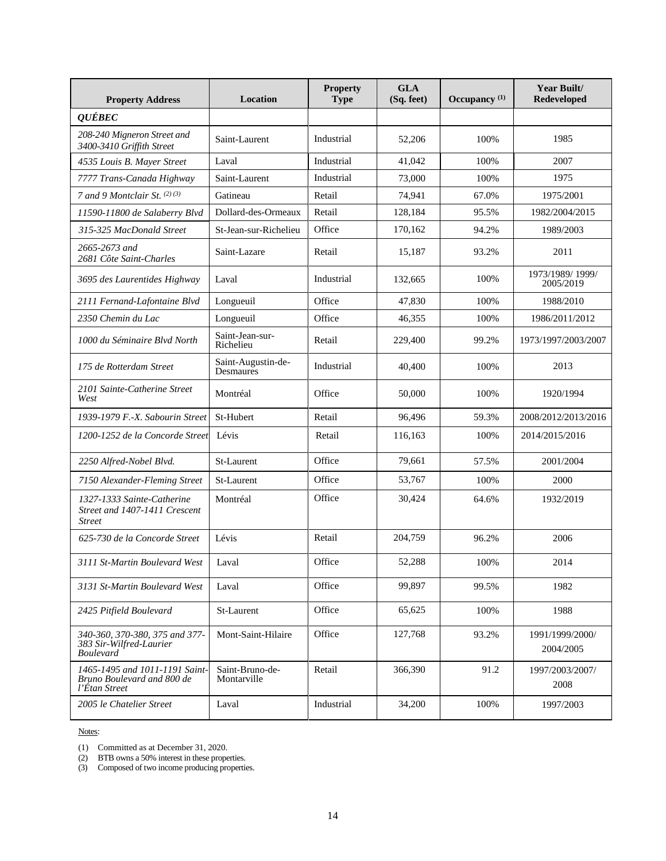| <b>Property Address</b>                                                       | <b>Location</b>                 | <b>Property</b><br><b>Type</b> | <b>GLA</b><br>(Sq. feet) | Occupancy <sup>(1)</sup> | Year Built/<br><b>Redeveloped</b> |
|-------------------------------------------------------------------------------|---------------------------------|--------------------------------|--------------------------|--------------------------|-----------------------------------|
| <b>QUÉBEC</b>                                                                 |                                 |                                |                          |                          |                                   |
| 208-240 Migneron Street and<br>3400-3410 Griffith Street                      | Saint-Laurent                   | Industrial                     | 52,206                   | 100%                     | 1985                              |
| 4535 Louis B. Mayer Street                                                    | Laval                           | Industrial                     | 41,042                   | 100%                     | 2007                              |
| 7777 Trans-Canada Highway                                                     | Saint-Laurent                   | Industrial                     | 73,000                   | 100%                     | 1975                              |
| 7 and 9 Montclair St. (2)(3)                                                  | Gatineau                        | Retail                         | 74,941                   | 67.0%                    | 1975/2001                         |
| 11590-11800 de Salaberry Blvd                                                 | Dollard-des-Ormeaux             | Retail                         | 128,184                  | 95.5%                    | 1982/2004/2015                    |
| 315-325 MacDonald Street                                                      | St-Jean-sur-Richelieu           | Office                         | 170,162                  | 94.2%                    | 1989/2003                         |
| 2665-2673 and<br>2681 Côte Saint-Charles                                      | Saint-Lazare                    | Retail                         | 15,187                   | 93.2%                    | 2011                              |
| 3695 des Laurentides Highway                                                  | Laval                           | Industrial                     | 132,665                  | 100%                     | 1973/1989/1999/<br>2005/2019      |
| 2111 Fernand-Lafontaine Blvd                                                  | Longueuil                       | Office                         | 47,830                   | 100%                     | 1988/2010                         |
| 2350 Chemin du Lac                                                            | Longueuil                       | Office                         | 46,355                   | 100%                     | 1986/2011/2012                    |
| 1000 du Séminaire Blyd North                                                  | Saint-Jean-sur-<br>Richelieu    | Retail                         | 229,400                  | 99.2%                    | 1973/1997/2003/2007               |
| 175 de Rotterdam Street                                                       | Saint-Augustin-de-<br>Desmaures | Industrial                     | 40,400                   | 100%                     | 2013                              |
| 2101 Sainte-Catherine Street<br>West                                          | Montréal                        | Office                         | 50,000                   | 100%                     | 1920/1994                         |
| 1939-1979 F.-X. Sabourin Street                                               | St-Hubert                       | Retail                         | 96,496                   | 59.3%                    | 2008/2012/2013/2016               |
| 1200-1252 de la Concorde Street                                               | Lévis                           | Retail                         | 116,163                  | 100%                     | 2014/2015/2016                    |
| 2250 Alfred-Nobel Blvd.                                                       | St-Laurent                      | Office                         | 79,661                   | 57.5%                    | 2001/2004                         |
| 7150 Alexander-Fleming Street                                                 | St-Laurent                      | Office                         | 53,767                   | 100%                     | 2000                              |
| 1327-1333 Sainte-Catherine<br>Street and 1407-1411 Crescent<br><b>Street</b>  | Montréal                        | Office                         | 30,424                   | 64.6%                    | 1932/2019                         |
| 625-730 de la Concorde Street                                                 | Lévis                           | Retail                         | 204,759                  | 96.2%                    | 2006                              |
| 3111 St-Martin Boulevard West                                                 | Laval                           | Office                         | 52,288                   | 100%                     | 2014                              |
| 3131 St-Martin Boulevard West                                                 | Laval                           | Office                         | 99.897                   | 99.5%                    | 1982                              |
| 2425 Pitfield Boulevard                                                       | St-Laurent                      | Office                         | 65,625                   | 100%                     | 1988                              |
| 340-360, 370-380, 375 and 377-<br>383 Sir-Wilfred-Laurier<br><b>Boulevard</b> | Mont-Saint-Hilaire              | Office                         | 127,768                  | 93.2%                    | 1991/1999/2000/<br>2004/2005      |
| 1465-1495 and 1011-1191 Saint-<br>Bruno Boulevard and 800 de<br>l'Étan Street | Saint-Bruno-de-<br>Montarville  | Retail                         | 366,390                  | 91.2                     | 1997/2003/2007/<br>2008           |
| 2005 le Chatelier Street                                                      | Laval                           | Industrial                     | 34,200                   | 100%                     | 1997/2003                         |

(1) Committed as at December 31, 2020.

(2) BTB owns a 50% interest in these properties.

(3) Composed of two income producing properties.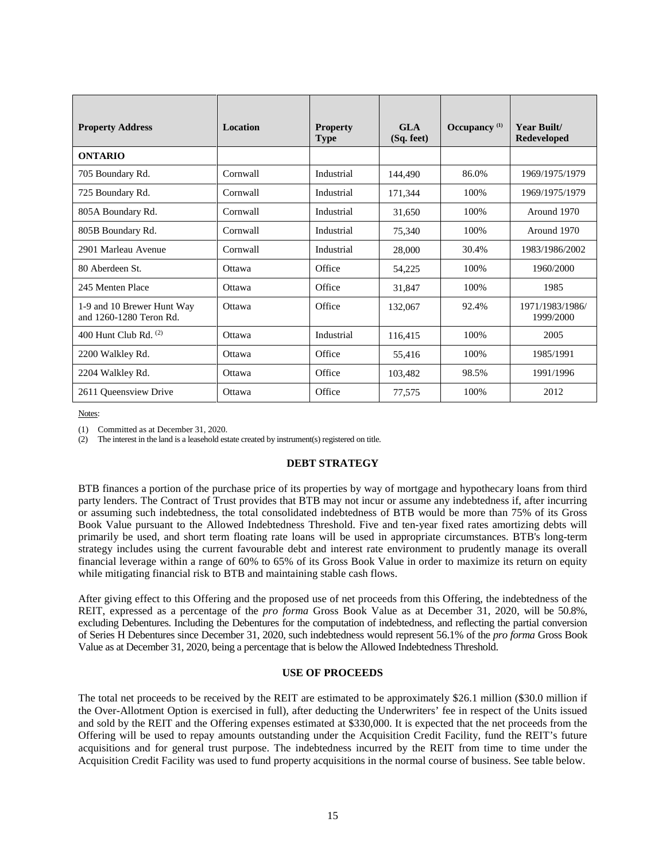| <b>Property Address</b>                               | <b>Location</b> | <b>Property</b><br><b>Type</b> | GLA<br>(Sq. feet) | Occupancy $(1)$ | Year Built/<br><b>Redeveloped</b> |
|-------------------------------------------------------|-----------------|--------------------------------|-------------------|-----------------|-----------------------------------|
| <b>ONTARIO</b>                                        |                 |                                |                   |                 |                                   |
| 705 Boundary Rd.                                      | Cornwall        | Industrial                     | 144,490           | 86.0%           | 1969/1975/1979                    |
| 725 Boundary Rd.                                      | Cornwall        | Industrial                     | 171,344           | 100%            | 1969/1975/1979                    |
| 805A Boundary Rd.                                     | Cornwall        | Industrial                     | 31.650            | 100%            | Around 1970                       |
| 805B Boundary Rd.                                     | Cornwall        | Industrial                     | 75,340            | 100%            | Around 1970                       |
| 2901 Marleau Avenue                                   | Cornwall        | Industrial                     | 28,000            | 30.4%           | 1983/1986/2002                    |
| 80 Aberdeen St.                                       | Ottawa          | Office                         | 54,225            | 100%            | 1960/2000                         |
| 245 Menten Place                                      | Ottawa          | Office                         | 31,847            | 100%            | 1985                              |
| 1-9 and 10 Brewer Hunt Way<br>and 1260-1280 Teron Rd. | Ottawa          | Office                         | 132,067           | 92.4%           | 1971/1983/1986/<br>1999/2000      |
| 400 Hunt Club Rd. $(2)$                               | Ottawa          | Industrial                     | 116,415           | 100%            | 2005                              |
| 2200 Walkley Rd.                                      | Ottawa          | Office                         | 55,416            | 100%            | 1985/1991                         |
| 2204 Walkley Rd.                                      | Ottawa          | Office                         | 103,482           | 98.5%           | 1991/1996                         |
| 2611 Queensview Drive                                 | Ottawa          | Office                         | 77,575            | 100%            | 2012                              |

(1) Committed as at December 31, 2020.

(2) The interest in the land is a leasehold estate created by instrument(s) registered on title.

# **DEBT STRATEGY**

BTB finances a portion of the purchase price of its properties by way of mortgage and hypothecary loans from third party lenders. The Contract of Trust provides that BTB may not incur or assume any indebtedness if, after incurring or assuming such indebtedness, the total consolidated indebtedness of BTB would be more than 75% of its Gross Book Value pursuant to the Allowed Indebtedness Threshold. Five and ten-year fixed rates amortizing debts will primarily be used, and short term floating rate loans will be used in appropriate circumstances. BTB's long-term strategy includes using the current favourable debt and interest rate environment to prudently manage its overall financial leverage within a range of 60% to 65% of its Gross Book Value in order to maximize its return on equity while mitigating financial risk to BTB and maintaining stable cash flows.

After giving effect to this Offering and the proposed use of net proceeds from this Offering, the indebtedness of the REIT, expressed as a percentage of the *pro forma* Gross Book Value as at December 31, 2020, will be 50.8%, excluding Debentures. Including the Debentures for the computation of indebtedness, and reflecting the partial conversion of Series H Debentures since December 31, 2020, such indebtedness would represent 56.1% of the *pro forma* Gross Book Value as at December 31, 2020, being a percentage that is below the Allowed Indebtedness Threshold.

# **USE OF PROCEEDS**

The total net proceeds to be received by the REIT are estimated to be approximately \$26.1 million (\$30.0 million if the Over-Allotment Option is exercised in full), after deducting the Underwriters' fee in respect of the Units issued and sold by the REIT and the Offering expenses estimated at \$330,000. It is expected that the net proceeds from the Offering will be used to repay amounts outstanding under the Acquisition Credit Facility, fund the REIT's future acquisitions and for general trust purpose. The indebtedness incurred by the REIT from time to time under the Acquisition Credit Facility was used to fund property acquisitions in the normal course of business. See table below.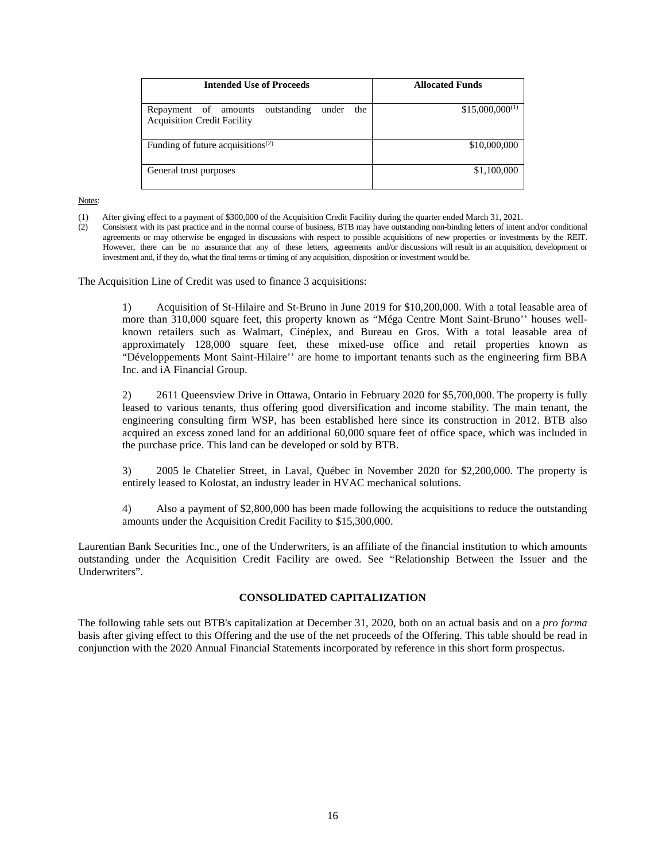| Intended Use of Proceeds                                                                  | <b>Allocated Funds</b> |
|-------------------------------------------------------------------------------------------|------------------------|
| outstanding<br>Repayment of amounts<br>under<br>the<br><b>Acquisition Credit Facility</b> | $$15,000,000^{(1)}$    |
| Funding of future acquisitions <sup>(2)</sup>                                             | \$10,000,000           |
| General trust purposes                                                                    | \$1,100,000            |

- (1) After giving effect to a payment of \$300,000 of the Acquisition Credit Facility during the quarter ended March 31, 2021.
- (2) Consistent with its past practice and in the normal course of business, BTB may have outstanding non-binding letters of intent and/or conditional agreements or may otherwise be engaged in discussions with respect to possible acquisitions of new properties or investments by the REIT. However, there can be no assurance that any of these letters, agreements and/or discussions will result in an acquisition, development or investment and, if they do, what the final terms or timing of any acquisition, disposition or investment would be.

The Acquisition Line of Credit was used to finance 3 acquisitions:

1) Acquisition of St-Hilaire and St-Bruno in June 2019 for \$10,200,000. With a total leasable area of more than 310,000 square feet, this property known as "Méga Centre Mont Saint-Bruno'' houses wellknown retailers such as Walmart, Cinéplex, and Bureau en Gros. With a total leasable area of approximately 128,000 square feet, these mixed-use office and retail properties known as "Développements Mont Saint-Hilaire'' are home to important tenants such as the engineering firm BBA Inc. and iA Financial Group.

2) 2611 Queensview Drive in Ottawa, Ontario in February 2020 for \$5,700,000. The property is fully leased to various tenants, thus offering good diversification and income stability. The main tenant, the engineering consulting firm WSP, has been established here since its construction in 2012. BTB also acquired an excess zoned land for an additional 60,000 square feet of office space, which was included in the purchase price. This land can be developed or sold by BTB.

3) 2005 le Chatelier Street, in Laval, Québec in November 2020 for \$2,200,000. The property is entirely leased to Kolostat, an industry leader in HVAC mechanical solutions.

4) Also a payment of \$2,800,000 has been made following the acquisitions to reduce the outstanding amounts under the Acquisition Credit Facility to \$15,300,000.

Laurentian Bank Securities Inc., one of the Underwriters, is an affiliate of the financial institution to which amounts outstanding under the Acquisition Credit Facility are owed. See "Relationship Between the Issuer and the Underwriters".

# **CONSOLIDATED CAPITALIZATION**

The following table sets out BTB's capitalization at December 31, 2020, both on an actual basis and on a *pro forma* basis after giving effect to this Offering and the use of the net proceeds of the Offering. This table should be read in conjunction with the 2020 Annual Financial Statements incorporated by reference in this short form prospectus.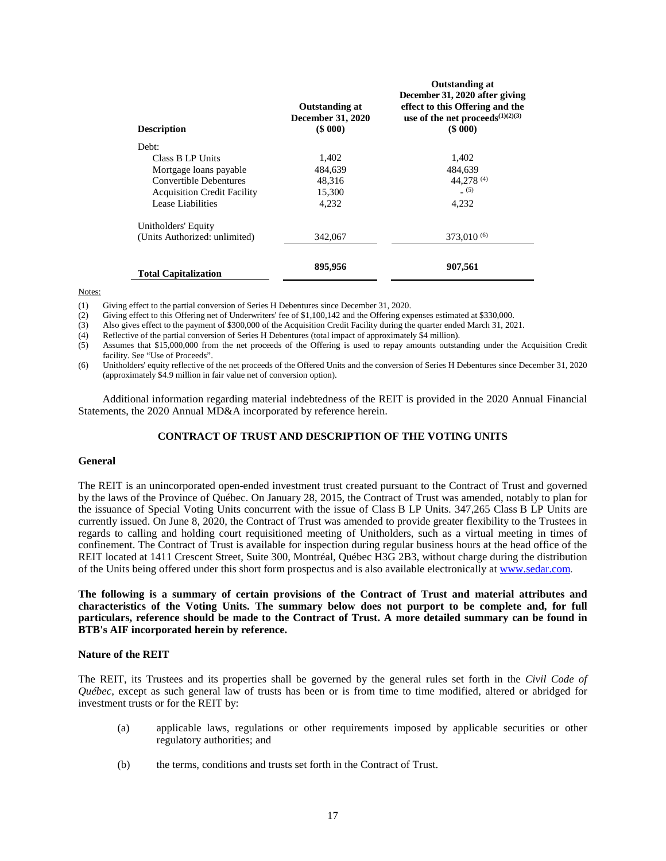| <b>Description</b>                 | <b>Outstanding at</b><br><b>December 31, 2020</b><br>$($ \$ 000 $)$ | <b>Outstanding at</b><br>December 31, 2020 after giving<br>effect to this Offering and the<br>use of the net proceeds <sup><math>(1)(2)(3)</math></sup><br>$($ \$ 000 $)$ |
|------------------------------------|---------------------------------------------------------------------|---------------------------------------------------------------------------------------------------------------------------------------------------------------------------|
| Debt:                              |                                                                     |                                                                                                                                                                           |
| Class B LP Units                   | 1.402                                                               | 1.402                                                                                                                                                                     |
| Mortgage loans payable             | 484,639                                                             | 484.639                                                                                                                                                                   |
| Convertible Debentures             | 48.316                                                              | 44,278 <sup>(4)</sup>                                                                                                                                                     |
| <b>Acquisition Credit Facility</b> | 15,300                                                              | (5)                                                                                                                                                                       |
| Lease Liabilities                  | 4.232                                                               | 4,232                                                                                                                                                                     |
| Unitholders' Equity                |                                                                     |                                                                                                                                                                           |
| (Units Authorized: unlimited)      | 342,067                                                             | $373,010^{(6)}$                                                                                                                                                           |
| <b>Total Capitalization</b>        | 895,956                                                             | 907,561                                                                                                                                                                   |

(1) Giving effect to the partial conversion of Series H Debentures since December 31, 2020.

(2) Giving effect to this Offering net of Underwriters' fee of \$1,100,142 and the Offering expenses estimated at \$330,000.

(3) Also gives effect to the payment of \$300,000 of the Acquisition Credit Facility during the quarter ended March 31, 2021.

(4) Reflective of the partial conversion of Series H Debentures (total impact of approximately \$4 million).

(5) Assumes that \$15,000,000 from the net proceeds of the Offering is used to repay amounts outstanding under the Acquisition Credit facility. See "Use of Proceeds".

(6) Unitholders' equity reflective of the net proceeds of the Offered Units and the conversion of Series H Debentures since December 31, 2020 (approximately \$4.9 million in fair value net of conversion option).

Additional information regarding material indebtedness of the REIT is provided in the 2020 Annual Financial Statements, the 2020 Annual MD&A incorporated by reference herein.

# **CONTRACT OF TRUST AND DESCRIPTION OF THE VOTING UNITS**

#### **General**

The REIT is an unincorporated open-ended investment trust created pursuant to the Contract of Trust and governed by the laws of the Province of Québec. On January 28, 2015, the Contract of Trust was amended, notably to plan for the issuance of Special Voting Units concurrent with the issue of Class B LP Units. 347,265 Class B LP Units are currently issued. On June 8, 2020, the Contract of Trust was amended to provide greater flexibility to the Trustees in regards to calling and holding court requisitioned meeting of Unitholders, such as a virtual meeting in times of confinement. The Contract of Trust is available for inspection during regular business hours at the head office of the REIT located at 1411 Crescent Street, Suite 300, Montréal, Québec H3G 2B3, without charge during the distribution of the Units being offered under this short form prospectus and is also available electronically at www.sedar.com.

**The following is a summary of certain provisions of the Contract of Trust and material attributes and characteristics of the Voting Units. The summary below does not purport to be complete and, for full particulars, reference should be made to the Contract of Trust. A more detailed summary can be found in BTB's AIF incorporated herein by reference.** 

#### **Nature of the REIT**

The REIT, its Trustees and its properties shall be governed by the general rules set forth in the *Civil Code of Québec*, except as such general law of trusts has been or is from time to time modified, altered or abridged for investment trusts or for the REIT by:

- (a) applicable laws, regulations or other requirements imposed by applicable securities or other regulatory authorities; and
- (b) the terms, conditions and trusts set forth in the Contract of Trust.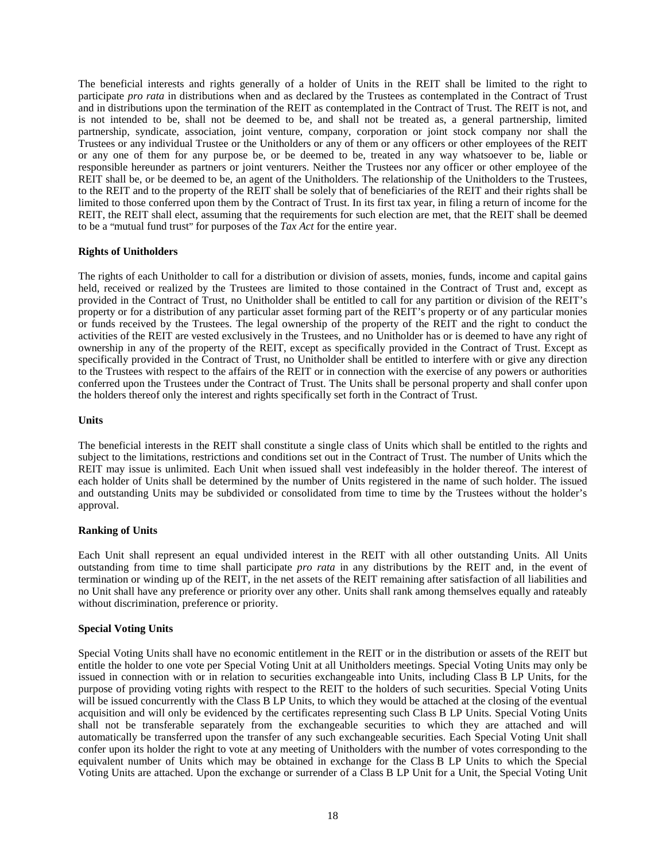The beneficial interests and rights generally of a holder of Units in the REIT shall be limited to the right to participate *pro rata* in distributions when and as declared by the Trustees as contemplated in the Contract of Trust and in distributions upon the termination of the REIT as contemplated in the Contract of Trust. The REIT is not, and is not intended to be, shall not be deemed to be, and shall not be treated as, a general partnership, limited partnership, syndicate, association, joint venture, company, corporation or joint stock company nor shall the Trustees or any individual Trustee or the Unitholders or any of them or any officers or other employees of the REIT or any one of them for any purpose be, or be deemed to be, treated in any way whatsoever to be, liable or responsible hereunder as partners or joint venturers. Neither the Trustees nor any officer or other employee of the REIT shall be, or be deemed to be, an agent of the Unitholders. The relationship of the Unitholders to the Trustees, to the REIT and to the property of the REIT shall be solely that of beneficiaries of the REIT and their rights shall be limited to those conferred upon them by the Contract of Trust. In its first tax year, in filing a return of income for the REIT, the REIT shall elect, assuming that the requirements for such election are met, that the REIT shall be deemed to be a "mutual fund trust" for purposes of the *Tax Act* for the entire year.

# **Rights of Unitholders**

The rights of each Unitholder to call for a distribution or division of assets, monies, funds, income and capital gains held, received or realized by the Trustees are limited to those contained in the Contract of Trust and, except as provided in the Contract of Trust, no Unitholder shall be entitled to call for any partition or division of the REIT's property or for a distribution of any particular asset forming part of the REIT's property or of any particular monies or funds received by the Trustees. The legal ownership of the property of the REIT and the right to conduct the activities of the REIT are vested exclusively in the Trustees, and no Unitholder has or is deemed to have any right of ownership in any of the property of the REIT, except as specifically provided in the Contract of Trust. Except as specifically provided in the Contract of Trust, no Unitholder shall be entitled to interfere with or give any direction to the Trustees with respect to the affairs of the REIT or in connection with the exercise of any powers or authorities conferred upon the Trustees under the Contract of Trust. The Units shall be personal property and shall confer upon the holders thereof only the interest and rights specifically set forth in the Contract of Trust.

# **Units**

The beneficial interests in the REIT shall constitute a single class of Units which shall be entitled to the rights and subject to the limitations, restrictions and conditions set out in the Contract of Trust. The number of Units which the REIT may issue is unlimited. Each Unit when issued shall vest indefeasibly in the holder thereof. The interest of each holder of Units shall be determined by the number of Units registered in the name of such holder. The issued and outstanding Units may be subdivided or consolidated from time to time by the Trustees without the holder's approval.

# **Ranking of Units**

Each Unit shall represent an equal undivided interest in the REIT with all other outstanding Units. All Units outstanding from time to time shall participate *pro rata* in any distributions by the REIT and, in the event of termination or winding up of the REIT, in the net assets of the REIT remaining after satisfaction of all liabilities and no Unit shall have any preference or priority over any other. Units shall rank among themselves equally and rateably without discrimination, preference or priority.

# **Special Voting Units**

Special Voting Units shall have no economic entitlement in the REIT or in the distribution or assets of the REIT but entitle the holder to one vote per Special Voting Unit at all Unitholders meetings. Special Voting Units may only be issued in connection with or in relation to securities exchangeable into Units, including Class B LP Units, for the purpose of providing voting rights with respect to the REIT to the holders of such securities. Special Voting Units will be issued concurrently with the Class B LP Units, to which they would be attached at the closing of the eventual acquisition and will only be evidenced by the certificates representing such Class B LP Units. Special Voting Units shall not be transferable separately from the exchangeable securities to which they are attached and will automatically be transferred upon the transfer of any such exchangeable securities. Each Special Voting Unit shall confer upon its holder the right to vote at any meeting of Unitholders with the number of votes corresponding to the equivalent number of Units which may be obtained in exchange for the Class B LP Units to which the Special Voting Units are attached. Upon the exchange or surrender of a Class B LP Unit for a Unit, the Special Voting Unit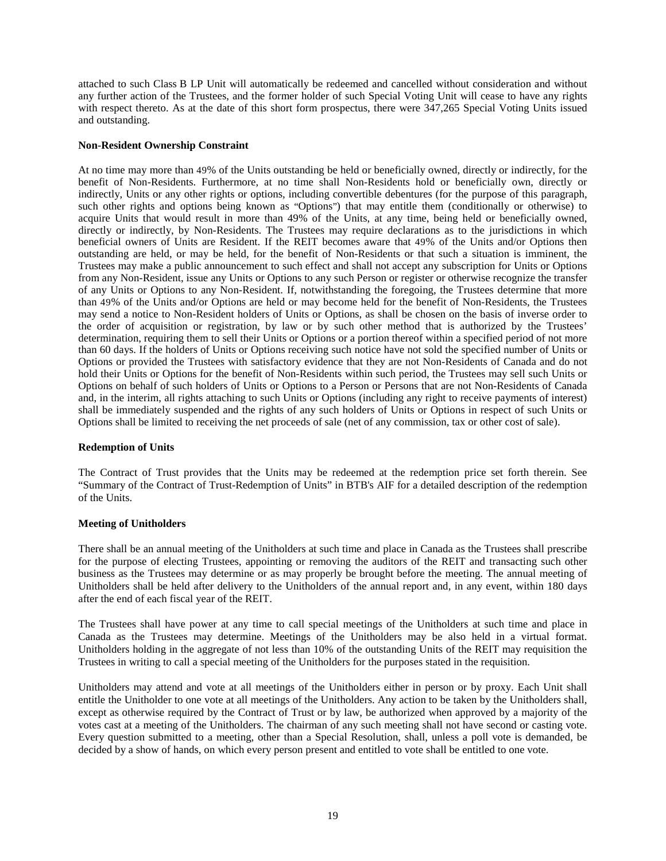attached to such Class B LP Unit will automatically be redeemed and cancelled without consideration and without any further action of the Trustees, and the former holder of such Special Voting Unit will cease to have any rights with respect thereto. As at the date of this short form prospectus, there were  $347,265$  Special Voting Units issued and outstanding.

# **Non-Resident Ownership Constraint**

At no time may more than 49% of the Units outstanding be held or beneficially owned, directly or indirectly, for the benefit of Non-Residents. Furthermore, at no time shall Non-Residents hold or beneficially own, directly or indirectly, Units or any other rights or options, including convertible debentures (for the purpose of this paragraph, such other rights and options being known as "Options") that may entitle them (conditionally or otherwise) to acquire Units that would result in more than 49% of the Units, at any time, being held or beneficially owned, directly or indirectly, by Non-Residents. The Trustees may require declarations as to the jurisdictions in which beneficial owners of Units are Resident. If the REIT becomes aware that 49% of the Units and/or Options then outstanding are held, or may be held, for the benefit of Non-Residents or that such a situation is imminent, the Trustees may make a public announcement to such effect and shall not accept any subscription for Units or Options from any Non-Resident, issue any Units or Options to any such Person or register or otherwise recognize the transfer of any Units or Options to any Non-Resident. If, notwithstanding the foregoing, the Trustees determine that more than 49% of the Units and/or Options are held or may become held for the benefit of Non-Residents, the Trustees may send a notice to Non-Resident holders of Units or Options, as shall be chosen on the basis of inverse order to the order of acquisition or registration, by law or by such other method that is authorized by the Trustees' determination, requiring them to sell their Units or Options or a portion thereof within a specified period of not more than 60 days. If the holders of Units or Options receiving such notice have not sold the specified number of Units or Options or provided the Trustees with satisfactory evidence that they are not Non-Residents of Canada and do not hold their Units or Options for the benefit of Non-Residents within such period, the Trustees may sell such Units or Options on behalf of such holders of Units or Options to a Person or Persons that are not Non-Residents of Canada and, in the interim, all rights attaching to such Units or Options (including any right to receive payments of interest) shall be immediately suspended and the rights of any such holders of Units or Options in respect of such Units or Options shall be limited to receiving the net proceeds of sale (net of any commission, tax or other cost of sale).

# **Redemption of Units**

The Contract of Trust provides that the Units may be redeemed at the redemption price set forth therein. See "Summary of the Contract of Trust-Redemption of Units" in BTB's AIF for a detailed description of the redemption of the Units.

# **Meeting of Unitholders**

There shall be an annual meeting of the Unitholders at such time and place in Canada as the Trustees shall prescribe for the purpose of electing Trustees, appointing or removing the auditors of the REIT and transacting such other business as the Trustees may determine or as may properly be brought before the meeting. The annual meeting of Unitholders shall be held after delivery to the Unitholders of the annual report and, in any event, within 180 days after the end of each fiscal year of the REIT.

The Trustees shall have power at any time to call special meetings of the Unitholders at such time and place in Canada as the Trustees may determine. Meetings of the Unitholders may be also held in a virtual format. Unitholders holding in the aggregate of not less than 10% of the outstanding Units of the REIT may requisition the Trustees in writing to call a special meeting of the Unitholders for the purposes stated in the requisition.

Unitholders may attend and vote at all meetings of the Unitholders either in person or by proxy. Each Unit shall entitle the Unitholder to one vote at all meetings of the Unitholders. Any action to be taken by the Unitholders shall, except as otherwise required by the Contract of Trust or by law, be authorized when approved by a majority of the votes cast at a meeting of the Unitholders. The chairman of any such meeting shall not have second or casting vote. Every question submitted to a meeting, other than a Special Resolution, shall, unless a poll vote is demanded, be decided by a show of hands, on which every person present and entitled to vote shall be entitled to one vote.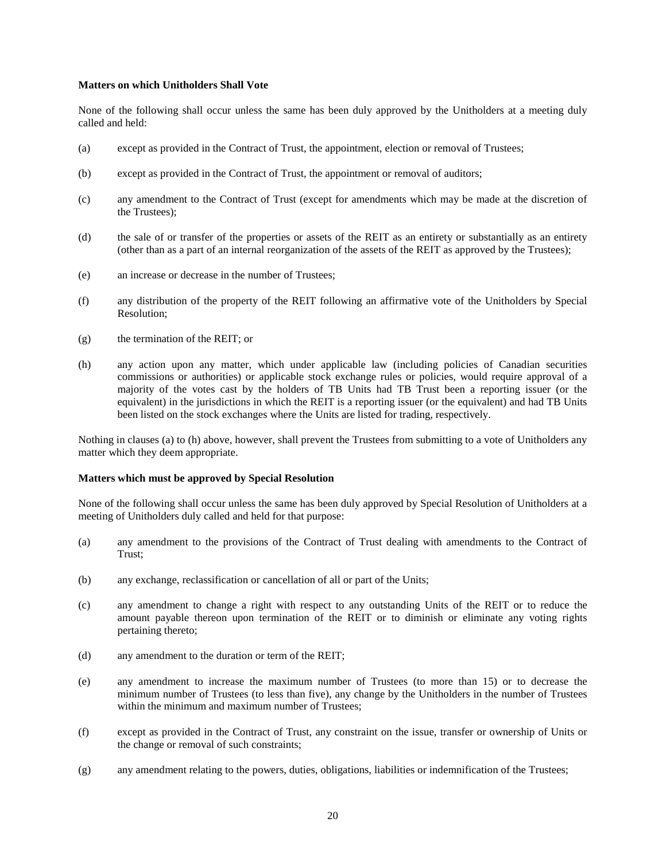# **Matters on which Unitholders Shall Vote**

None of the following shall occur unless the same has been duly approved by the Unitholders at a meeting duly called and held:

- (a) except as provided in the Contract of Trust, the appointment, election or removal of Trustees;
- (b) except as provided in the Contract of Trust, the appointment or removal of auditors;
- (c) any amendment to the Contract of Trust (except for amendments which may be made at the discretion of the Trustees);
- (d) the sale of or transfer of the properties or assets of the REIT as an entirety or substantially as an entirety (other than as a part of an internal reorganization of the assets of the REIT as approved by the Trustees);
- (e) an increase or decrease in the number of Trustees;
- (f) any distribution of the property of the REIT following an affirmative vote of the Unitholders by Special Resolution;
- (g) the termination of the REIT; or
- (h) any action upon any matter, which under applicable law (including policies of Canadian securities commissions or authorities) or applicable stock exchange rules or policies, would require approval of a majority of the votes cast by the holders of TB Units had TB Trust been a reporting issuer (or the equivalent) in the jurisdictions in which the REIT is a reporting issuer (or the equivalent) and had TB Units been listed on the stock exchanges where the Units are listed for trading, respectively.

Nothing in clauses (a) to (h) above, however, shall prevent the Trustees from submitting to a vote of Unitholders any matter which they deem appropriate.

#### **Matters which must be approved by Special Resolution**

None of the following shall occur unless the same has been duly approved by Special Resolution of Unitholders at a meeting of Unitholders duly called and held for that purpose:

- (a) any amendment to the provisions of the Contract of Trust dealing with amendments to the Contract of Trust;
- (b) any exchange, reclassification or cancellation of all or part of the Units;
- (c) any amendment to change a right with respect to any outstanding Units of the REIT or to reduce the amount payable thereon upon termination of the REIT or to diminish or eliminate any voting rights pertaining thereto;
- (d) any amendment to the duration or term of the REIT;
- (e) any amendment to increase the maximum number of Trustees (to more than 15) or to decrease the minimum number of Trustees (to less than five), any change by the Unitholders in the number of Trustees within the minimum and maximum number of Trustees;
- (f) except as provided in the Contract of Trust, any constraint on the issue, transfer or ownership of Units or the change or removal of such constraints;
- (g) any amendment relating to the powers, duties, obligations, liabilities or indemnification of the Trustees;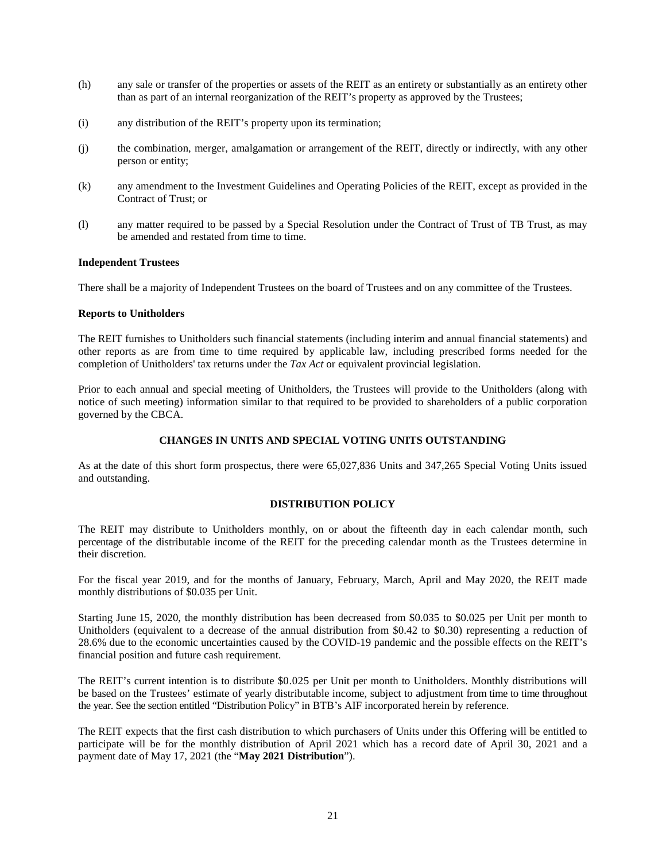- (h) any sale or transfer of the properties or assets of the REIT as an entirety or substantially as an entirety other than as part of an internal reorganization of the REIT's property as approved by the Trustees;
- (i) any distribution of the REIT's property upon its termination;
- (j) the combination, merger, amalgamation or arrangement of the REIT, directly or indirectly, with any other person or entity;
- (k) any amendment to the Investment Guidelines and Operating Policies of the REIT, except as provided in the Contract of Trust; or
- (l) any matter required to be passed by a Special Resolution under the Contract of Trust of TB Trust, as may be amended and restated from time to time.

# **Independent Trustees**

There shall be a majority of Independent Trustees on the board of Trustees and on any committee of the Trustees.

# **Reports to Unitholders**

The REIT furnishes to Unitholders such financial statements (including interim and annual financial statements) and other reports as are from time to time required by applicable law, including prescribed forms needed for the completion of Unitholders' tax returns under the *Tax Act* or equivalent provincial legislation.

Prior to each annual and special meeting of Unitholders, the Trustees will provide to the Unitholders (along with notice of such meeting) information similar to that required to be provided to shareholders of a public corporation governed by the CBCA.

# **CHANGES IN UNITS AND SPECIAL VOTING UNITS OUTSTANDING**

As at the date of this short form prospectus, there were 65,027,836 Units and 347,265 Special Voting Units issued and outstanding.

# **DISTRIBUTION POLICY**

The REIT may distribute to Unitholders monthly, on or about the fifteenth day in each calendar month, such percentage of the distributable income of the REIT for the preceding calendar month as the Trustees determine in their discretion.

For the fiscal year 2019, and for the months of January, February, March, April and May 2020, the REIT made monthly distributions of \$0.035 per Unit.

Starting June 15, 2020, the monthly distribution has been decreased from \$0.035 to \$0.025 per Unit per month to Unitholders (equivalent to a decrease of the annual distribution from \$0.42 to \$0.30) representing a reduction of 28.6% due to the economic uncertainties caused by the COVID-19 pandemic and the possible effects on the REIT's financial position and future cash requirement.

The REIT's current intention is to distribute \$0.025 per Unit per month to Unitholders. Monthly distributions will be based on the Trustees' estimate of yearly distributable income, subject to adjustment from time to time throughout the year. See the section entitled "Distribution Policy" in BTB's AIF incorporated herein by reference.

The REIT expects that the first cash distribution to which purchasers of Units under this Offering will be entitled to participate will be for the monthly distribution of April 2021 which has a record date of April 30, 2021 and a payment date of May 17, 2021 (the "**May 2021 Distribution**").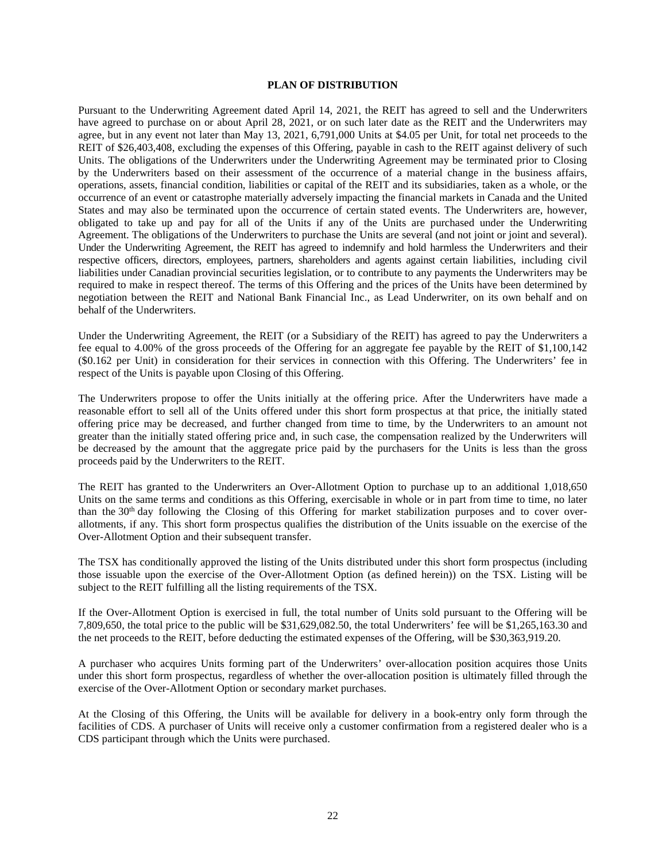# **PLAN OF DISTRIBUTION**

Pursuant to the Underwriting Agreement dated April 14, 2021, the REIT has agreed to sell and the Underwriters have agreed to purchase on or about April 28, 2021, or on such later date as the REIT and the Underwriters may agree, but in any event not later than May 13, 2021, 6,791,000 Units at \$4.05 per Unit, for total net proceeds to the REIT of \$26,403,408, excluding the expenses of this Offering, payable in cash to the REIT against delivery of such Units. The obligations of the Underwriters under the Underwriting Agreement may be terminated prior to Closing by the Underwriters based on their assessment of the occurrence of a material change in the business affairs, operations, assets, financial condition, liabilities or capital of the REIT and its subsidiaries, taken as a whole, or the occurrence of an event or catastrophe materially adversely impacting the financial markets in Canada and the United States and may also be terminated upon the occurrence of certain stated events. The Underwriters are, however, obligated to take up and pay for all of the Units if any of the Units are purchased under the Underwriting Agreement. The obligations of the Underwriters to purchase the Units are several (and not joint or joint and several). Under the Underwriting Agreement, the REIT has agreed to indemnify and hold harmless the Underwriters and their respective officers, directors, employees, partners, shareholders and agents against certain liabilities, including civil liabilities under Canadian provincial securities legislation, or to contribute to any payments the Underwriters may be required to make in respect thereof. The terms of this Offering and the prices of the Units have been determined by negotiation between the REIT and National Bank Financial Inc., as Lead Underwriter, on its own behalf and on behalf of the Underwriters.

Under the Underwriting Agreement, the REIT (or a Subsidiary of the REIT) has agreed to pay the Underwriters a fee equal to 4.00% of the gross proceeds of the Offering for an aggregate fee payable by the REIT of \$1,100,142 (\$0.162 per Unit) in consideration for their services in connection with this Offering. The Underwriters' fee in respect of the Units is payable upon Closing of this Offering.

The Underwriters propose to offer the Units initially at the offering price. After the Underwriters have made a reasonable effort to sell all of the Units offered under this short form prospectus at that price, the initially stated offering price may be decreased, and further changed from time to time, by the Underwriters to an amount not greater than the initially stated offering price and, in such case, the compensation realized by the Underwriters will be decreased by the amount that the aggregate price paid by the purchasers for the Units is less than the gross proceeds paid by the Underwriters to the REIT.

The REIT has granted to the Underwriters an Over-Allotment Option to purchase up to an additional 1,018,650 Units on the same terms and conditions as this Offering, exercisable in whole or in part from time to time, no later than the 30<sup>th</sup> day following the Closing of this Offering for market stabilization purposes and to cover overallotments, if any. This short form prospectus qualifies the distribution of the Units issuable on the exercise of the Over-Allotment Option and their subsequent transfer.

The TSX has conditionally approved the listing of the Units distributed under this short form prospectus (including those issuable upon the exercise of the Over-Allotment Option (as defined herein)) on the TSX. Listing will be subject to the REIT fulfilling all the listing requirements of the TSX.

If the Over-Allotment Option is exercised in full, the total number of Units sold pursuant to the Offering will be 7,809,650, the total price to the public will be \$31,629,082.50, the total Underwriters' fee will be \$1,265,163.30 and the net proceeds to the REIT, before deducting the estimated expenses of the Offering, will be \$30,363,919.20.

A purchaser who acquires Units forming part of the Underwriters' over-allocation position acquires those Units under this short form prospectus, regardless of whether the over-allocation position is ultimately filled through the exercise of the Over-Allotment Option or secondary market purchases.

At the Closing of this Offering, the Units will be available for delivery in a book-entry only form through the facilities of CDS. A purchaser of Units will receive only a customer confirmation from a registered dealer who is a CDS participant through which the Units were purchased.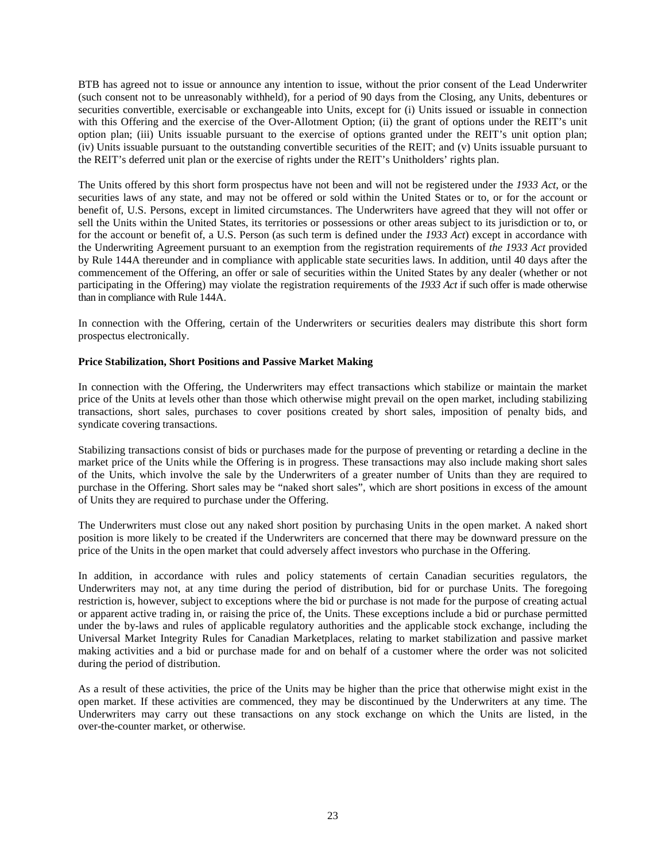BTB has agreed not to issue or announce any intention to issue, without the prior consent of the Lead Underwriter (such consent not to be unreasonably withheld), for a period of 90 days from the Closing, any Units, debentures or securities convertible, exercisable or exchangeable into Units, except for (i) Units issued or issuable in connection with this Offering and the exercise of the Over-Allotment Option; (ii) the grant of options under the REIT's unit option plan; (iii) Units issuable pursuant to the exercise of options granted under the REIT's unit option plan; (iv) Units issuable pursuant to the outstanding convertible securities of the REIT; and (v) Units issuable pursuant to the REIT's deferred unit plan or the exercise of rights under the REIT's Unitholders' rights plan.

The Units offered by this short form prospectus have not been and will not be registered under the *1933 Act*, or the securities laws of any state, and may not be offered or sold within the United States or to, or for the account or benefit of, U.S. Persons, except in limited circumstances. The Underwriters have agreed that they will not offer or sell the Units within the United States, its territories or possessions or other areas subject to its jurisdiction or to, or for the account or benefit of, a U.S. Person (as such term is defined under the *1933 Act*) except in accordance with the Underwriting Agreement pursuant to an exemption from the registration requirements of *the 1933 Act* provided by Rule 144A thereunder and in compliance with applicable state securities laws. In addition, until 40 days after the commencement of the Offering, an offer or sale of securities within the United States by any dealer (whether or not participating in the Offering) may violate the registration requirements of the *1933 Act* if such offer is made otherwise than in compliance with Rule 144A.

In connection with the Offering, certain of the Underwriters or securities dealers may distribute this short form prospectus electronically.

# **Price Stabilization, Short Positions and Passive Market Making**

In connection with the Offering, the Underwriters may effect transactions which stabilize or maintain the market price of the Units at levels other than those which otherwise might prevail on the open market, including stabilizing transactions, short sales, purchases to cover positions created by short sales, imposition of penalty bids, and syndicate covering transactions.

Stabilizing transactions consist of bids or purchases made for the purpose of preventing or retarding a decline in the market price of the Units while the Offering is in progress. These transactions may also include making short sales of the Units, which involve the sale by the Underwriters of a greater number of Units than they are required to purchase in the Offering. Short sales may be "naked short sales", which are short positions in excess of the amount of Units they are required to purchase under the Offering.

The Underwriters must close out any naked short position by purchasing Units in the open market. A naked short position is more likely to be created if the Underwriters are concerned that there may be downward pressure on the price of the Units in the open market that could adversely affect investors who purchase in the Offering.

In addition, in accordance with rules and policy statements of certain Canadian securities regulators, the Underwriters may not, at any time during the period of distribution, bid for or purchase Units. The foregoing restriction is, however, subject to exceptions where the bid or purchase is not made for the purpose of creating actual or apparent active trading in, or raising the price of, the Units. These exceptions include a bid or purchase permitted under the by-laws and rules of applicable regulatory authorities and the applicable stock exchange, including the Universal Market Integrity Rules for Canadian Marketplaces, relating to market stabilization and passive market making activities and a bid or purchase made for and on behalf of a customer where the order was not solicited during the period of distribution.

As a result of these activities, the price of the Units may be higher than the price that otherwise might exist in the open market. If these activities are commenced, they may be discontinued by the Underwriters at any time. The Underwriters may carry out these transactions on any stock exchange on which the Units are listed, in the over-the-counter market, or otherwise.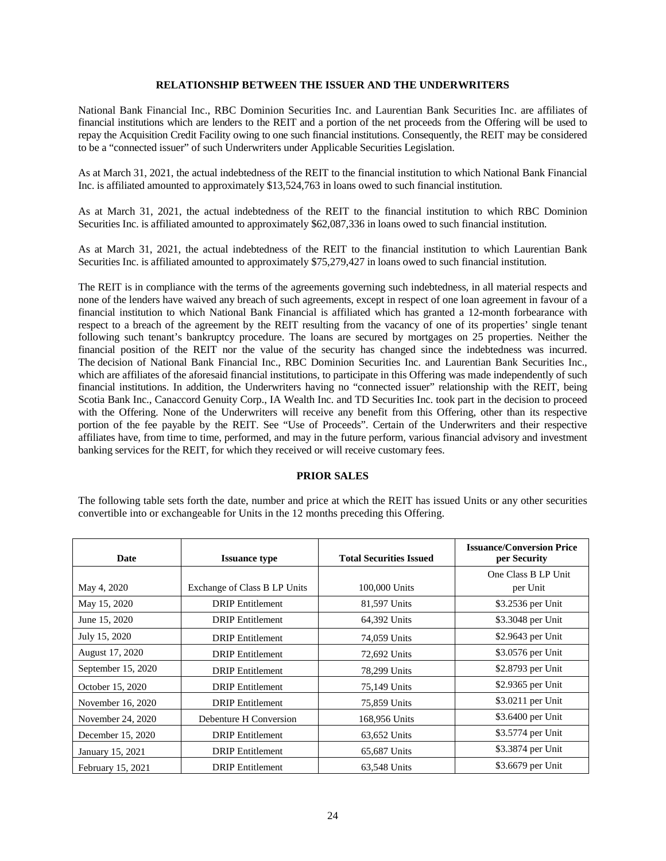# **RELATIONSHIP BETWEEN THE ISSUER AND THE UNDERWRITERS**

National Bank Financial Inc., RBC Dominion Securities Inc. and Laurentian Bank Securities Inc. are affiliates of financial institutions which are lenders to the REIT and a portion of the net proceeds from the Offering will be used to repay the Acquisition Credit Facility owing to one such financial institutions. Consequently, the REIT may be considered to be a "connected issuer" of such Underwriters under Applicable Securities Legislation.

As at March 31, 2021, the actual indebtedness of the REIT to the financial institution to which National Bank Financial Inc. is affiliated amounted to approximately \$13,524,763 in loans owed to such financial institution.

As at March 31, 2021, the actual indebtedness of the REIT to the financial institution to which RBC Dominion Securities Inc. is affiliated amounted to approximately \$62,087,336 in loans owed to such financial institution.

As at March 31, 2021, the actual indebtedness of the REIT to the financial institution to which Laurentian Bank Securities Inc. is affiliated amounted to approximately \$75,279,427 in loans owed to such financial institution.

The REIT is in compliance with the terms of the agreements governing such indebtedness, in all material respects and none of the lenders have waived any breach of such agreements, except in respect of one loan agreement in favour of a financial institution to which National Bank Financial is affiliated which has granted a 12-month forbearance with respect to a breach of the agreement by the REIT resulting from the vacancy of one of its properties' single tenant following such tenant's bankruptcy procedure. The loans are secured by mortgages on 25 properties. Neither the financial position of the REIT nor the value of the security has changed since the indebtedness was incurred. The decision of National Bank Financial Inc., RBC Dominion Securities Inc. and Laurentian Bank Securities Inc., which are affiliates of the aforesaid financial institutions, to participate in this Offering was made independently of such financial institutions. In addition, the Underwriters having no "connected issuer" relationship with the REIT, being Scotia Bank Inc., Canaccord Genuity Corp., IA Wealth Inc. and TD Securities Inc. took part in the decision to proceed with the Offering. None of the Underwriters will receive any benefit from this Offering, other than its respective portion of the fee payable by the REIT. See "Use of Proceeds". Certain of the Underwriters and their respective affiliates have, from time to time, performed, and may in the future perform, various financial advisory and investment banking services for the REIT, for which they received or will receive customary fees.

# **PRIOR SALES**

The following table sets forth the date, number and price at which the REIT has issued Units or any other securities convertible into or exchangeable for Units in the 12 months preceding this Offering.

| Date               | <b>Issuance type</b>         | <b>Total Securities Issued</b> | <b>Issuance/Conversion Price</b><br>per Security |
|--------------------|------------------------------|--------------------------------|--------------------------------------------------|
|                    |                              |                                | One Class B LP Unit                              |
| May 4, 2020        | Exchange of Class B LP Units | 100,000 Units                  | per Unit                                         |
| May 15, 2020       | <b>DRIP</b> Entitlement      | 81,597 Units                   | \$3.2536 per Unit                                |
| June 15, 2020      | <b>DRIP</b> Entitlement      | 64,392 Units                   | \$3.3048 per Unit                                |
| July 15, 2020      | <b>DRIP</b> Entitlement      | 74,059 Units                   | \$2.9643 per Unit                                |
| August 17, 2020    | <b>DRIP</b> Entitlement      | 72,692 Units                   | \$3.0576 per Unit                                |
| September 15, 2020 | <b>DRIP</b> Entitlement      | 78,299 Units                   | \$2.8793 per Unit                                |
| October 15, 2020   | <b>DRIP</b> Entitlement      | 75,149 Units                   | \$2.9365 per Unit                                |
| November 16, 2020  | <b>DRIP</b> Entitlement      | 75,859 Units                   | \$3.0211 per Unit                                |
| November 24, 2020  | Debenture H Conversion       | 168,956 Units                  | \$3.6400 per Unit                                |
| December 15, 2020  | <b>DRIP</b> Entitlement      | 63,652 Units                   | \$3.5774 per Unit                                |
| January 15, 2021   | <b>DRIP</b> Entitlement      | 65,687 Units                   | \$3.3874 per Unit                                |
| February 15, 2021  | <b>DRIP</b> Entitlement      | 63,548 Units                   | \$3.6679 per Unit                                |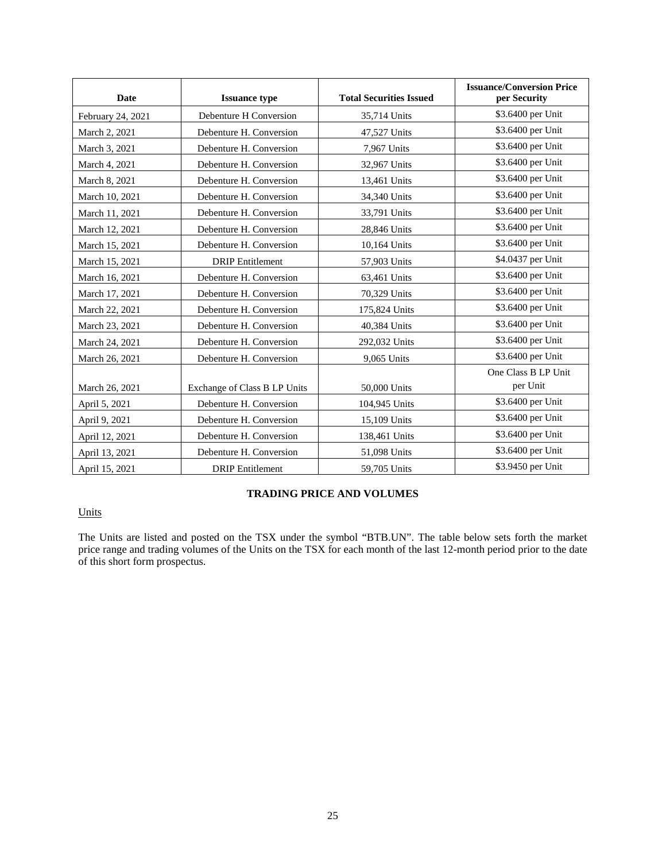| <b>Date</b>       | <b>Issuance type</b>         | <b>Total Securities Issued</b> | <b>Issuance/Conversion Price</b><br>per Security |
|-------------------|------------------------------|--------------------------------|--------------------------------------------------|
| February 24, 2021 | Debenture H Conversion       | 35,714 Units                   | \$3.6400 per Unit                                |
| March 2, 2021     | Debenture H. Conversion      | 47,527 Units                   | \$3.6400 per Unit                                |
| March 3, 2021     | Debenture H. Conversion      | 7,967 Units                    | \$3.6400 per Unit                                |
| March 4, 2021     | Debenture H. Conversion      | 32,967 Units                   | \$3.6400 per Unit                                |
| March 8, 2021     | Debenture H. Conversion      | 13,461 Units                   | \$3.6400 per Unit                                |
| March 10, 2021    | Debenture H. Conversion      | 34,340 Units                   | \$3.6400 per Unit                                |
| March 11, 2021    | Debenture H. Conversion      | 33,791 Units                   | \$3.6400 per Unit                                |
| March 12, 2021    | Debenture H. Conversion      | 28,846 Units                   | \$3.6400 per Unit                                |
| March 15, 2021    | Debenture H. Conversion      | 10,164 Units                   | \$3.6400 per Unit                                |
| March 15, 2021    | <b>DRIP</b> Entitlement      | 57,903 Units                   | \$4.0437 per Unit                                |
| March 16, 2021    | Debenture H. Conversion      | 63,461 Units                   | \$3.6400 per Unit                                |
| March 17, 2021    | Debenture H. Conversion      | 70,329 Units                   | \$3.6400 per Unit                                |
| March 22, 2021    | Debenture H. Conversion      | 175,824 Units                  | \$3.6400 per Unit                                |
| March 23, 2021    | Debenture H. Conversion      | 40,384 Units                   | \$3.6400 per Unit                                |
| March 24, 2021    | Debenture H. Conversion      | 292,032 Units                  | \$3.6400 per Unit                                |
| March 26, 2021    | Debenture H. Conversion      | 9,065 Units                    | \$3.6400 per Unit                                |
|                   |                              |                                | One Class B LP Unit                              |
| March 26, 2021    | Exchange of Class B LP Units | 50,000 Units                   | per Unit                                         |
| April 5, 2021     | Debenture H. Conversion      | 104,945 Units                  | \$3.6400 per Unit                                |
| April 9, 2021     | Debenture H. Conversion      | 15,109 Units                   | \$3.6400 per Unit                                |
| April 12, 2021    | Debenture H. Conversion      | 138,461 Units                  | \$3.6400 per Unit                                |
| April 13, 2021    | Debenture H. Conversion      | 51,098 Units                   | \$3.6400 per Unit                                |
| April 15, 2021    | <b>DRIP</b> Entitlement      | 59,705 Units                   | \$3.9450 per Unit                                |

# **TRADING PRICE AND VOLUMES**

# Units

The Units are listed and posted on the TSX under the symbol "BTB.UN". The table below sets forth the market price range and trading volumes of the Units on the TSX for each month of the last 12-month period prior to the date of this short form prospectus.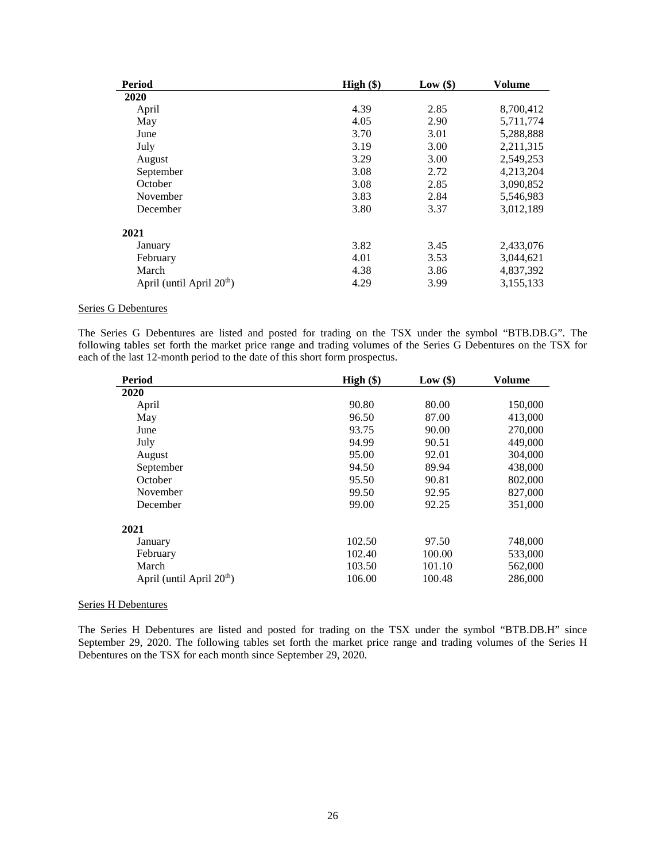| Period                                | High $(\$)$ | Low(\$) | <b>Volume</b> |
|---------------------------------------|-------------|---------|---------------|
| 2020                                  |             |         |               |
| April                                 | 4.39        | 2.85    | 8,700,412     |
| May                                   | 4.05        | 2.90    | 5,711,774     |
| June                                  | 3.70        | 3.01    | 5,288,888     |
| July                                  | 3.19        | 3.00    | 2,211,315     |
| August                                | 3.29        | 3.00    | 2,549,253     |
| September                             | 3.08        | 2.72    | 4,213,204     |
| October                               | 3.08        | 2.85    | 3,090,852     |
| November                              | 3.83        | 2.84    | 5,546,983     |
| December                              | 3.80        | 3.37    | 3,012,189     |
| 2021                                  |             |         |               |
| January                               | 3.82        | 3.45    | 2,433,076     |
| February                              | 4.01        | 3.53    | 3,044,621     |
| March                                 | 4.38        | 3.86    | 4,837,392     |
| April (until April 20 <sup>th</sup> ) | 4.29        | 3.99    | 3,155,133     |

# Series G Debentures

The Series G Debentures are listed and posted for trading on the TSX under the symbol "BTB.DB.G". The following tables set forth the market price range and trading volumes of the Series G Debentures on the TSX for each of the last 12-month period to the date of this short form prospectus.

| Period                                | High $(\$)$ | Low $(\$)$ | <b>Volume</b> |  |
|---------------------------------------|-------------|------------|---------------|--|
| 2020                                  |             |            |               |  |
| April                                 | 90.80       | 80.00      | 150,000       |  |
| May                                   | 96.50       | 87.00      | 413,000       |  |
| June                                  | 93.75       | 90.00      | 270,000       |  |
| July                                  | 94.99       | 90.51      | 449,000       |  |
| August                                | 95.00       | 92.01      | 304,000       |  |
| September                             | 94.50       | 89.94      | 438,000       |  |
| October                               | 95.50       | 90.81      | 802,000       |  |
| November                              | 99.50       | 92.95      | 827,000       |  |
| December                              | 99.00       | 92.25      | 351,000       |  |
| 2021                                  |             |            |               |  |
| January                               | 102.50      | 97.50      | 748,000       |  |
| February                              | 102.40      | 100.00     | 533,000       |  |
| March                                 | 103.50      | 101.10     | 562,000       |  |
| April (until April 20 <sup>th</sup> ) | 106.00      | 100.48     | 286,000       |  |

#### Series H Debentures

The Series H Debentures are listed and posted for trading on the TSX under the symbol "BTB.DB.H" since September 29, 2020. The following tables set forth the market price range and trading volumes of the Series H Debentures on the TSX for each month since September 29, 2020.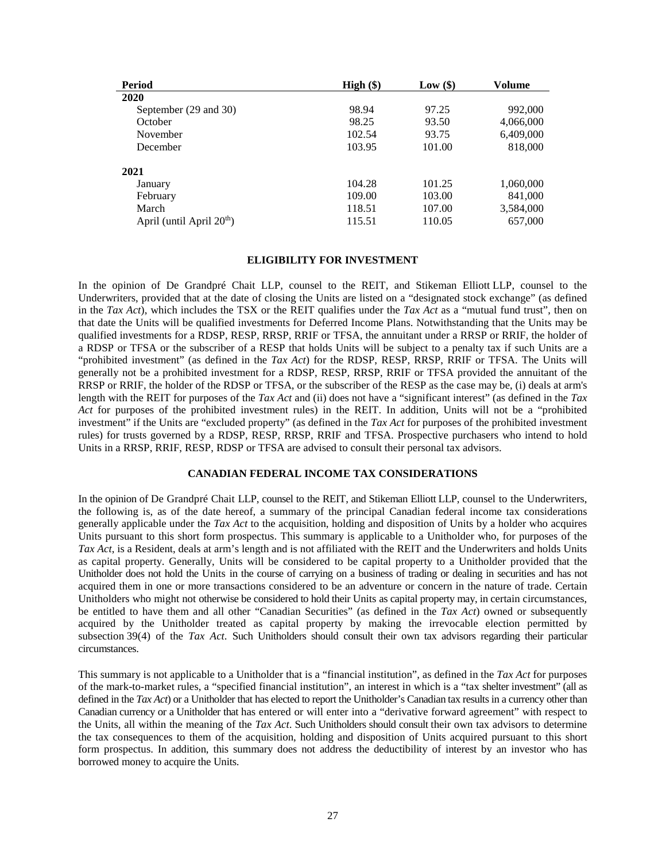| Period                                | $High (\$)$ | Low(\$)        | Volume                 |  |
|---------------------------------------|-------------|----------------|------------------------|--|
| 2020                                  |             |                |                        |  |
| September (29 and 30)                 | 98.94       | 97.25          | 992,000                |  |
| October                               | 98.25       | 93.50<br>93.75 | 4,066,000<br>6,409,000 |  |
| November                              | 102.54      |                |                        |  |
| December                              | 103.95      | 101.00         | 818,000                |  |
| 2021                                  |             |                |                        |  |
| January                               | 104.28      | 101.25         | 1,060,000              |  |
| February                              | 109.00      | 103.00         | 841,000                |  |
| March                                 | 118.51      | 107.00         | 3,584,000              |  |
| April (until April 20 <sup>th</sup> ) | 115.51      | 110.05         | 657,000                |  |

# **ELIGIBILITY FOR INVESTMENT**

In the opinion of De Grandpré Chait LLP, counsel to the REIT, and Stikeman Elliott LLP, counsel to the Underwriters, provided that at the date of closing the Units are listed on a "designated stock exchange" (as defined in the *Tax Act*), which includes the TSX or the REIT qualifies under the *Tax Act* as a "mutual fund trust", then on that date the Units will be qualified investments for Deferred Income Plans. Notwithstanding that the Units may be qualified investments for a RDSP, RESP, RRSP, RRIF or TFSA, the annuitant under a RRSP or RRIF, the holder of a RDSP or TFSA or the subscriber of a RESP that holds Units will be subject to a penalty tax if such Units are a "prohibited investment" (as defined in the *Tax Act*) for the RDSP, RESP, RRSP, RRIF or TFSA. The Units will generally not be a prohibited investment for a RDSP, RESP, RRSP, RRIF or TFSA provided the annuitant of the RRSP or RRIF, the holder of the RDSP or TFSA, or the subscriber of the RESP as the case may be, (i) deals at arm's length with the REIT for purposes of the *Tax Act* and (ii) does not have a "significant interest" (as defined in the *Tax Act* for purposes of the prohibited investment rules) in the REIT. In addition, Units will not be a "prohibited investment" if the Units are "excluded property" (as defined in the *Tax Act* for purposes of the prohibited investment rules) for trusts governed by a RDSP, RESP, RRSP, RRIF and TFSA. Prospective purchasers who intend to hold Units in a RRSP, RRIF, RESP, RDSP or TFSA are advised to consult their personal tax advisors.

# **CANADIAN FEDERAL INCOME TAX CONSIDERATIONS**

In the opinion of De Grandpré Chait LLP, counsel to the REIT, and Stikeman Elliott LLP, counsel to the Underwriters, the following is, as of the date hereof, a summary of the principal Canadian federal income tax considerations generally applicable under the *Tax Act* to the acquisition, holding and disposition of Units by a holder who acquires Units pursuant to this short form prospectus. This summary is applicable to a Unitholder who, for purposes of the *Tax Act*, is a Resident, deals at arm's length and is not affiliated with the REIT and the Underwriters and holds Units as capital property. Generally, Units will be considered to be capital property to a Unitholder provided that the Unitholder does not hold the Units in the course of carrying on a business of trading or dealing in securities and has not acquired them in one or more transactions considered to be an adventure or concern in the nature of trade. Certain Unitholders who might not otherwise be considered to hold their Units as capital property may, in certain circumstances, be entitled to have them and all other "Canadian Securities" (as defined in the *Tax Act*) owned or subsequently acquired by the Unitholder treated as capital property by making the irrevocable election permitted by subsection 39(4) of the *Tax Act*. Such Unitholders should consult their own tax advisors regarding their particular circumstances.

This summary is not applicable to a Unitholder that is a "financial institution", as defined in the *Tax Act* for purposes of the mark-to-market rules, a "specified financial institution", an interest in which is a "tax shelter investment" (all as defined in the *Tax Act*) or a Unitholder that has elected to report the Unitholder's Canadian tax results in a currency other than Canadian currency or a Unitholder that has entered or will enter into a "derivative forward agreement" with respect to the Units, all within the meaning of the *Tax Act*. Such Unitholders should consult their own tax advisors to determine the tax consequences to them of the acquisition, holding and disposition of Units acquired pursuant to this short form prospectus. In addition, this summary does not address the deductibility of interest by an investor who has borrowed money to acquire the Units.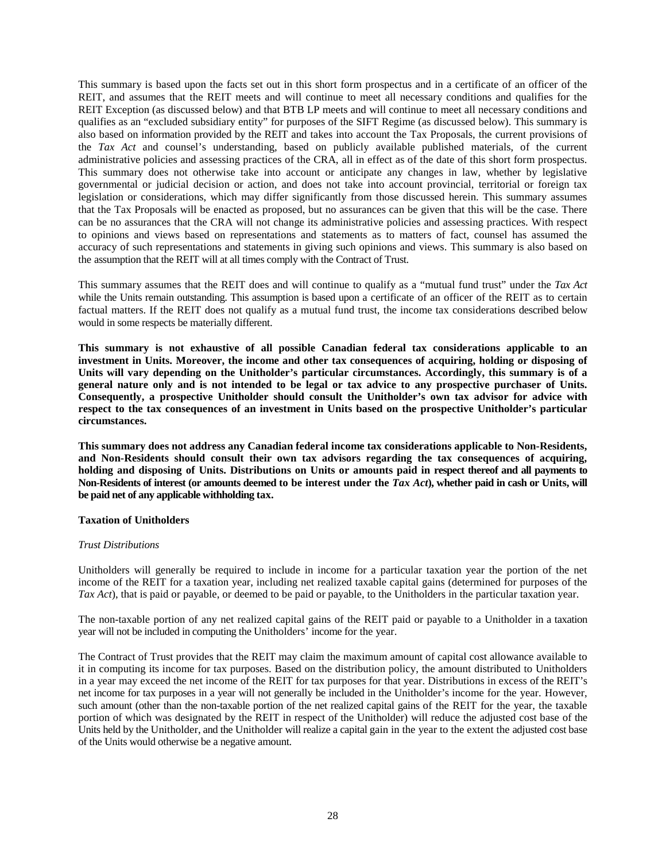This summary is based upon the facts set out in this short form prospectus and in a certificate of an officer of the REIT, and assumes that the REIT meets and will continue to meet all necessary conditions and qualifies for the REIT Exception (as discussed below) and that BTB LP meets and will continue to meet all necessary conditions and qualifies as an "excluded subsidiary entity" for purposes of the SIFT Regime (as discussed below). This summary is also based on information provided by the REIT and takes into account the Tax Proposals, the current provisions of the *Tax Act* and counsel's understanding, based on publicly available published materials, of the current administrative policies and assessing practices of the CRA, all in effect as of the date of this short form prospectus. This summary does not otherwise take into account or anticipate any changes in law, whether by legislative governmental or judicial decision or action, and does not take into account provincial, territorial or foreign tax legislation or considerations, which may differ significantly from those discussed herein. This summary assumes that the Tax Proposals will be enacted as proposed, but no assurances can be given that this will be the case. There can be no assurances that the CRA will not change its administrative policies and assessing practices. With respect to opinions and views based on representations and statements as to matters of fact, counsel has assumed the accuracy of such representations and statements in giving such opinions and views. This summary is also based on the assumption that the REIT will at all times comply with the Contract of Trust.

This summary assumes that the REIT does and will continue to qualify as a "mutual fund trust" under the *Tax Act* while the Units remain outstanding. This assumption is based upon a certificate of an officer of the REIT as to certain factual matters. If the REIT does not qualify as a mutual fund trust, the income tax considerations described below would in some respects be materially different.

**This summary is not exhaustive of all possible Canadian federal tax considerations applicable to an investment in Units. Moreover, the income and other tax consequences of acquiring, holding or disposing of Units will vary depending on the Unitholder's particular circumstances. Accordingly, this summary is of a general nature only and is not intended to be legal or tax advice to any prospective purchaser of Units. Consequently, a prospective Unitholder should consult the Unitholder's own tax advisor for advice with respect to the tax consequences of an investment in Units based on the prospective Unitholder's particular circumstances.** 

**This summary does not address any Canadian federal income tax considerations applicable to Non-Residents, and Non-Residents should consult their own tax advisors regarding the tax consequences of acquiring, holding and disposing of Units. Distributions on Units or amounts paid in respect thereof and all payments to Non-Residents of interest (or amounts deemed to be interest under the** *Tax Act***), whether paid in cash or Units, will be paid net of any applicable withholding tax.** 

# **Taxation of Unitholders**

# *Trust Distributions*

Unitholders will generally be required to include in income for a particular taxation year the portion of the net income of the REIT for a taxation year, including net realized taxable capital gains (determined for purposes of the *Tax Act*), that is paid or payable, or deemed to be paid or payable, to the Unitholders in the particular taxation year.

The non-taxable portion of any net realized capital gains of the REIT paid or payable to a Unitholder in a taxation year will not be included in computing the Unitholders' income for the year.

The Contract of Trust provides that the REIT may claim the maximum amount of capital cost allowance available to it in computing its income for tax purposes. Based on the distribution policy, the amount distributed to Unitholders in a year may exceed the net income of the REIT for tax purposes for that year. Distributions in excess of the REIT's net income for tax purposes in a year will not generally be included in the Unitholder's income for the year. However, such amount (other than the non-taxable portion of the net realized capital gains of the REIT for the year, the taxable portion of which was designated by the REIT in respect of the Unitholder) will reduce the adjusted cost base of the Units held by the Unitholder, and the Unitholder will realize a capital gain in the year to the extent the adjusted cost base of the Units would otherwise be a negative amount.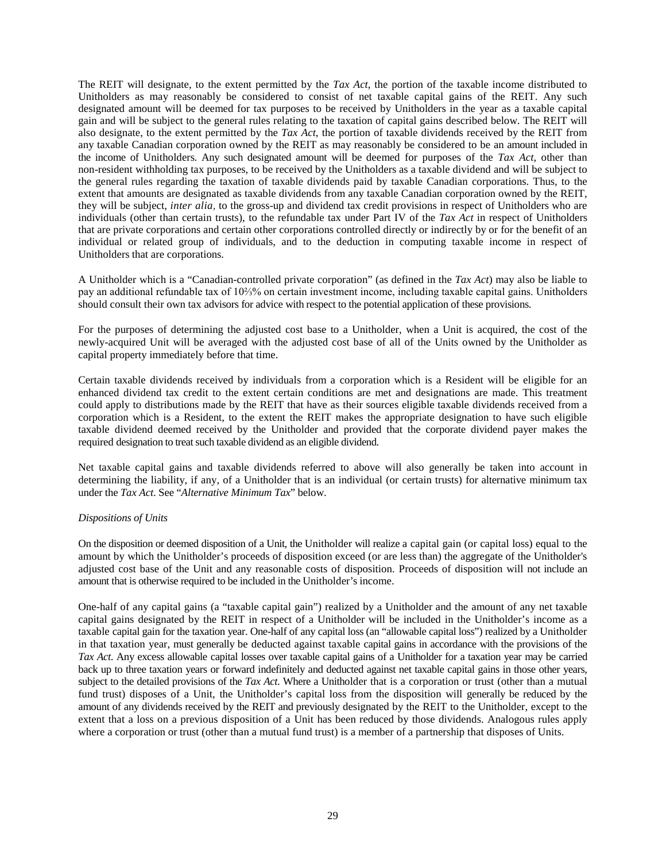The REIT will designate, to the extent permitted by the *Tax Act*, the portion of the taxable income distributed to Unitholders as may reasonably be considered to consist of net taxable capital gains of the REIT. Any such designated amount will be deemed for tax purposes to be received by Unitholders in the year as a taxable capital gain and will be subject to the general rules relating to the taxation of capital gains described below. The REIT will also designate, to the extent permitted by the *Tax Act*, the portion of taxable dividends received by the REIT from any taxable Canadian corporation owned by the REIT as may reasonably be considered to be an amount included in the income of Unitholders. Any such designated amount will be deemed for purposes of the *Tax Act*, other than non-resident withholding tax purposes, to be received by the Unitholders as a taxable dividend and will be subject to the general rules regarding the taxation of taxable dividends paid by taxable Canadian corporations. Thus, to the extent that amounts are designated as taxable dividends from any taxable Canadian corporation owned by the REIT, they will be subject, *inter alia,* to the gross-up and dividend tax credit provisions in respect of Unitholders who are individuals (other than certain trusts), to the refundable tax under Part IV of the *Tax Act* in respect of Unitholders that are private corporations and certain other corporations controlled directly or indirectly by or for the benefit of an individual or related group of individuals, and to the deduction in computing taxable income in respect of Unitholders that are corporations.

A Unitholder which is a "Canadian-controlled private corporation" (as defined in the *Tax Act*) may also be liable to pay an additional refundable tax of 10⅔% on certain investment income, including taxable capital gains. Unitholders should consult their own tax advisors for advice with respect to the potential application of these provisions.

For the purposes of determining the adjusted cost base to a Unitholder, when a Unit is acquired, the cost of the newly-acquired Unit will be averaged with the adjusted cost base of all of the Units owned by the Unitholder as capital property immediately before that time.

Certain taxable dividends received by individuals from a corporation which is a Resident will be eligible for an enhanced dividend tax credit to the extent certain conditions are met and designations are made. This treatment could apply to distributions made by the REIT that have as their sources eligible taxable dividends received from a corporation which is a Resident, to the extent the REIT makes the appropriate designation to have such eligible taxable dividend deemed received by the Unitholder and provided that the corporate dividend payer makes the required designation to treat such taxable dividend as an eligible dividend.

Net taxable capital gains and taxable dividends referred to above will also generally be taken into account in determining the liability, if any, of a Unitholder that is an individual (or certain trusts) for alternative minimum tax under the *Tax Act*. See "*Alternative Minimum Tax*" below.

# *Dispositions of Units*

On the disposition or deemed disposition of a Unit, the Unitholder will realize a capital gain (or capital loss) equal to the amount by which the Unitholder's proceeds of disposition exceed (or are less than) the aggregate of the Unitholder's adjusted cost base of the Unit and any reasonable costs of disposition. Proceeds of disposition will not include an amount that is otherwise required to be included in the Unitholder's income.

One-half of any capital gains (a "taxable capital gain") realized by a Unitholder and the amount of any net taxable capital gains designated by the REIT in respect of a Unitholder will be included in the Unitholder's income as a taxable capital gain for the taxation year. One-half of any capital loss (an "allowable capital loss") realized by a Unitholder in that taxation year, must generally be deducted against taxable capital gains in accordance with the provisions of the *Tax Act*. Any excess allowable capital losses over taxable capital gains of a Unitholder for a taxation year may be carried back up to three taxation years or forward indefinitely and deducted against net taxable capital gains in those other years, subject to the detailed provisions of the *Tax Act*. Where a Unitholder that is a corporation or trust (other than a mutual fund trust) disposes of a Unit, the Unitholder's capital loss from the disposition will generally be reduced by the amount of any dividends received by the REIT and previously designated by the REIT to the Unitholder, except to the extent that a loss on a previous disposition of a Unit has been reduced by those dividends. Analogous rules apply where a corporation or trust (other than a mutual fund trust) is a member of a partnership that disposes of Units.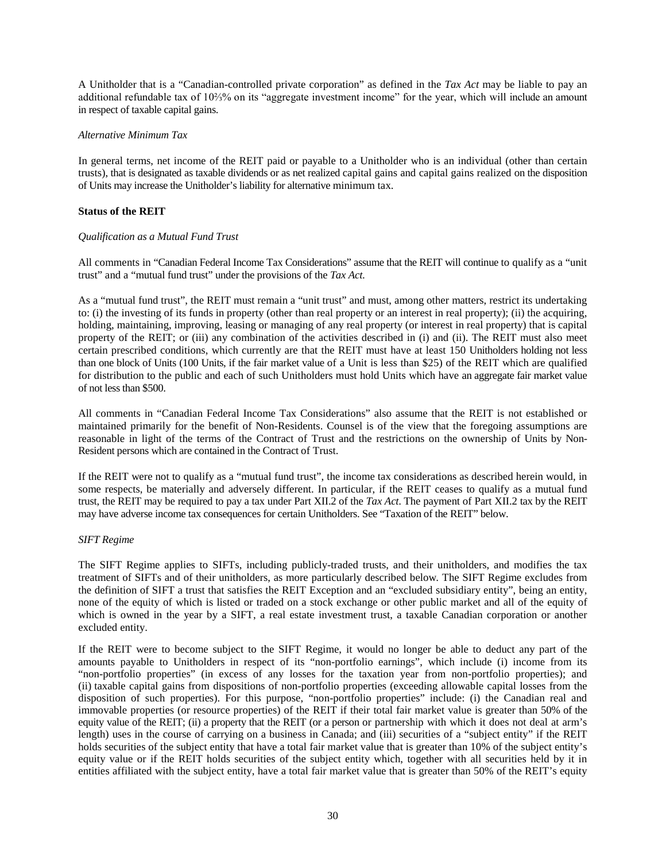A Unitholder that is a "Canadian-controlled private corporation" as defined in the *Tax Act* may be liable to pay an additional refundable tax of 10⅔% on its "aggregate investment income" for the year, which will include an amount in respect of taxable capital gains.

# *Alternative Minimum Tax*

In general terms, net income of the REIT paid or payable to a Unitholder who is an individual (other than certain trusts), that is designated as taxable dividends or as net realized capital gains and capital gains realized on the disposition of Units may increase the Unitholder's liability for alternative minimum tax.

# **Status of the REIT**

# *Qualification as a Mutual Fund Trust*

All comments in "Canadian Federal Income Tax Considerations" assume that the REIT will continue to qualify as a "unit trust" and a "mutual fund trust" under the provisions of the *Tax Act*.

As a "mutual fund trust", the REIT must remain a "unit trust" and must, among other matters, restrict its undertaking to: (i) the investing of its funds in property (other than real property or an interest in real property); (ii) the acquiring, holding, maintaining, improving, leasing or managing of any real property (or interest in real property) that is capital property of the REIT; or (iii) any combination of the activities described in (i) and (ii). The REIT must also meet certain prescribed conditions, which currently are that the REIT must have at least 150 Unitholders holding not less than one block of Units (100 Units, if the fair market value of a Unit is less than \$25) of the REIT which are qualified for distribution to the public and each of such Unitholders must hold Units which have an aggregate fair market value of not less than \$500.

All comments in "Canadian Federal Income Tax Considerations" also assume that the REIT is not established or maintained primarily for the benefit of Non-Residents. Counsel is of the view that the foregoing assumptions are reasonable in light of the terms of the Contract of Trust and the restrictions on the ownership of Units by Non-Resident persons which are contained in the Contract of Trust.

If the REIT were not to qualify as a "mutual fund trust", the income tax considerations as described herein would, in some respects, be materially and adversely different. In particular, if the REIT ceases to qualify as a mutual fund trust, the REIT may be required to pay a tax under Part XII.2 of the *Tax Act*. The payment of Part XII.2 tax by the REIT may have adverse income tax consequences for certain Unitholders. See "Taxation of the REIT" below.

# *SIFT Regime*

The SIFT Regime applies to SIFTs, including publicly-traded trusts, and their unitholders, and modifies the tax treatment of SIFTs and of their unitholders, as more particularly described below*.* The SIFT Regime excludes from the definition of SIFT a trust that satisfies the REIT Exception and an "excluded subsidiary entity", being an entity, none of the equity of which is listed or traded on a stock exchange or other public market and all of the equity of which is owned in the year by a SIFT, a real estate investment trust, a taxable Canadian corporation or another excluded entity.

If the REIT were to become subject to the SIFT Regime, it would no longer be able to deduct any part of the amounts payable to Unitholders in respect of its "non-portfolio earnings", which include (i) income from its "non-portfolio properties" (in excess of any losses for the taxation year from non-portfolio properties); and (ii) taxable capital gains from dispositions of non-portfolio properties (exceeding allowable capital losses from the disposition of such properties). For this purpose, "non-portfolio properties" include: (i) the Canadian real and immovable properties (or resource properties) of the REIT if their total fair market value is greater than 50% of the equity value of the REIT; (ii) a property that the REIT (or a person or partnership with which it does not deal at arm's length) uses in the course of carrying on a business in Canada; and (iii) securities of a "subject entity" if the REIT holds securities of the subject entity that have a total fair market value that is greater than 10% of the subject entity's equity value or if the REIT holds securities of the subject entity which, together with all securities held by it in entities affiliated with the subject entity, have a total fair market value that is greater than 50% of the REIT's equity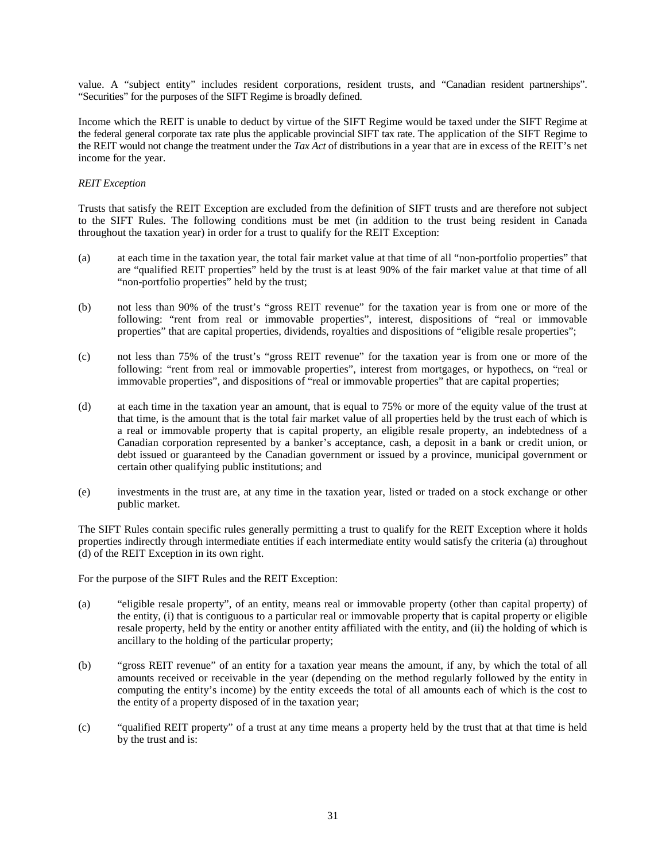value. A "subject entity" includes resident corporations, resident trusts, and "Canadian resident partnerships". "Securities" for the purposes of the SIFT Regime is broadly defined.

Income which the REIT is unable to deduct by virtue of the SIFT Regime would be taxed under the SIFT Regime at the federal general corporate tax rate plus the applicable provincial SIFT tax rate. The application of the SIFT Regime to the REIT would not change the treatment under the *Tax Act* of distributions in a year that are in excess of the REIT's net income for the year.

# *REIT Exception*

Trusts that satisfy the REIT Exception are excluded from the definition of SIFT trusts and are therefore not subject to the SIFT Rules. The following conditions must be met (in addition to the trust being resident in Canada throughout the taxation year) in order for a trust to qualify for the REIT Exception:

- (a) at each time in the taxation year, the total fair market value at that time of all "non-portfolio properties" that are "qualified REIT properties" held by the trust is at least 90% of the fair market value at that time of all "non-portfolio properties" held by the trust;
- (b) not less than 90% of the trust's "gross REIT revenue" for the taxation year is from one or more of the following: "rent from real or immovable properties", interest, dispositions of "real or immovable properties" that are capital properties, dividends, royalties and dispositions of "eligible resale properties";
- (c) not less than 75% of the trust's "gross REIT revenue" for the taxation year is from one or more of the following: "rent from real or immovable properties", interest from mortgages, or hypothecs, on "real or immovable properties", and dispositions of "real or immovable properties" that are capital properties;
- (d) at each time in the taxation year an amount, that is equal to 75% or more of the equity value of the trust at that time, is the amount that is the total fair market value of all properties held by the trust each of which is a real or immovable property that is capital property, an eligible resale property, an indebtedness of a Canadian corporation represented by a banker's acceptance, cash, a deposit in a bank or credit union, or debt issued or guaranteed by the Canadian government or issued by a province, municipal government or certain other qualifying public institutions; and
- (e) investments in the trust are, at any time in the taxation year, listed or traded on a stock exchange or other public market.

The SIFT Rules contain specific rules generally permitting a trust to qualify for the REIT Exception where it holds properties indirectly through intermediate entities if each intermediate entity would satisfy the criteria (a) throughout (d) of the REIT Exception in its own right.

For the purpose of the SIFT Rules and the REIT Exception:

- (a) "eligible resale property", of an entity, means real or immovable property (other than capital property) of the entity, (i) that is contiguous to a particular real or immovable property that is capital property or eligible resale property, held by the entity or another entity affiliated with the entity, and (ii) the holding of which is ancillary to the holding of the particular property;
- (b) "gross REIT revenue" of an entity for a taxation year means the amount, if any, by which the total of all amounts received or receivable in the year (depending on the method regularly followed by the entity in computing the entity's income) by the entity exceeds the total of all amounts each of which is the cost to the entity of a property disposed of in the taxation year;
- (c) "qualified REIT property" of a trust at any time means a property held by the trust that at that time is held by the trust and is: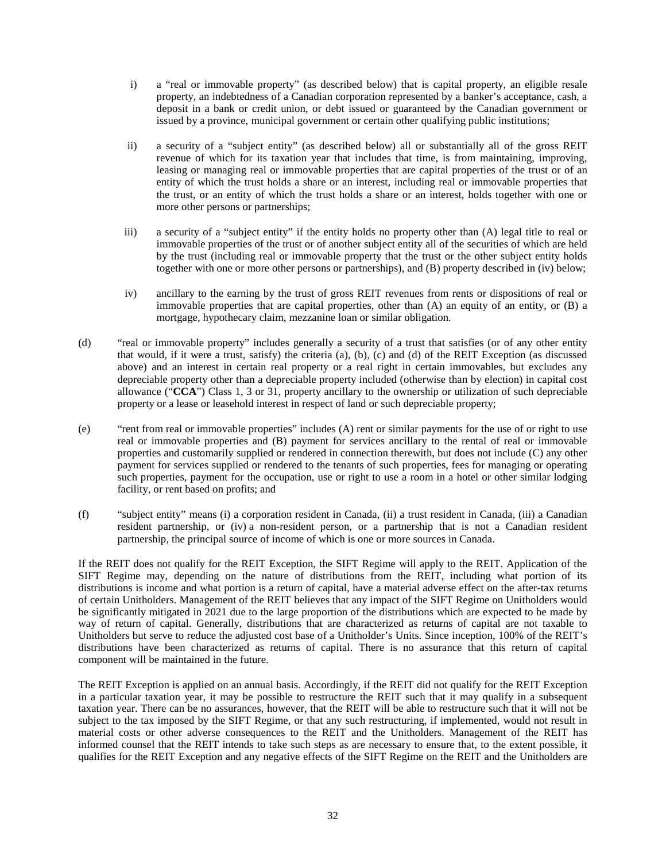- i) a "real or immovable property" (as described below) that is capital property, an eligible resale property, an indebtedness of a Canadian corporation represented by a banker's acceptance, cash, a deposit in a bank or credit union, or debt issued or guaranteed by the Canadian government or issued by a province, municipal government or certain other qualifying public institutions;
- ii) a security of a "subject entity" (as described below) all or substantially all of the gross REIT revenue of which for its taxation year that includes that time, is from maintaining, improving, leasing or managing real or immovable properties that are capital properties of the trust or of an entity of which the trust holds a share or an interest, including real or immovable properties that the trust, or an entity of which the trust holds a share or an interest, holds together with one or more other persons or partnerships;
- iii) a security of a "subject entity" if the entity holds no property other than (A) legal title to real or immovable properties of the trust or of another subject entity all of the securities of which are held by the trust (including real or immovable property that the trust or the other subject entity holds together with one or more other persons or partnerships), and (B) property described in (iv) below;
- iv) ancillary to the earning by the trust of gross REIT revenues from rents or dispositions of real or immovable properties that are capital properties, other than (A) an equity of an entity, or (B) a mortgage, hypothecary claim, mezzanine loan or similar obligation.
- (d) "real or immovable property" includes generally a security of a trust that satisfies (or of any other entity that would, if it were a trust, satisfy) the criteria (a), (b), (c) and (d) of the REIT Exception (as discussed above) and an interest in certain real property or a real right in certain immovables, but excludes any depreciable property other than a depreciable property included (otherwise than by election) in capital cost allowance ("**CCA**") Class 1, 3 or 31, property ancillary to the ownership or utilization of such depreciable property or a lease or leasehold interest in respect of land or such depreciable property;
- (e) "rent from real or immovable properties" includes (A) rent or similar payments for the use of or right to use real or immovable properties and (B) payment for services ancillary to the rental of real or immovable properties and customarily supplied or rendered in connection therewith, but does not include (C) any other payment for services supplied or rendered to the tenants of such properties, fees for managing or operating such properties, payment for the occupation, use or right to use a room in a hotel or other similar lodging facility, or rent based on profits; and
- (f) "subject entity" means (i) a corporation resident in Canada, (ii) a trust resident in Canada, (iii) a Canadian resident partnership, or (iv) a non-resident person, or a partnership that is not a Canadian resident partnership, the principal source of income of which is one or more sources in Canada.

If the REIT does not qualify for the REIT Exception, the SIFT Regime will apply to the REIT. Application of the SIFT Regime may, depending on the nature of distributions from the REIT, including what portion of its distributions is income and what portion is a return of capital, have a material adverse effect on the after-tax returns of certain Unitholders. Management of the REIT believes that any impact of the SIFT Regime on Unitholders would be significantly mitigated in 2021 due to the large proportion of the distributions which are expected to be made by way of return of capital. Generally, distributions that are characterized as returns of capital are not taxable to Unitholders but serve to reduce the adjusted cost base of a Unitholder's Units. Since inception, 100% of the REIT's distributions have been characterized as returns of capital. There is no assurance that this return of capital component will be maintained in the future.

The REIT Exception is applied on an annual basis. Accordingly, if the REIT did not qualify for the REIT Exception in a particular taxation year, it may be possible to restructure the REIT such that it may qualify in a subsequent taxation year. There can be no assurances, however, that the REIT will be able to restructure such that it will not be subject to the tax imposed by the SIFT Regime, or that any such restructuring, if implemented, would not result in material costs or other adverse consequences to the REIT and the Unitholders. Management of the REIT has informed counsel that the REIT intends to take such steps as are necessary to ensure that, to the extent possible, it qualifies for the REIT Exception and any negative effects of the SIFT Regime on the REIT and the Unitholders are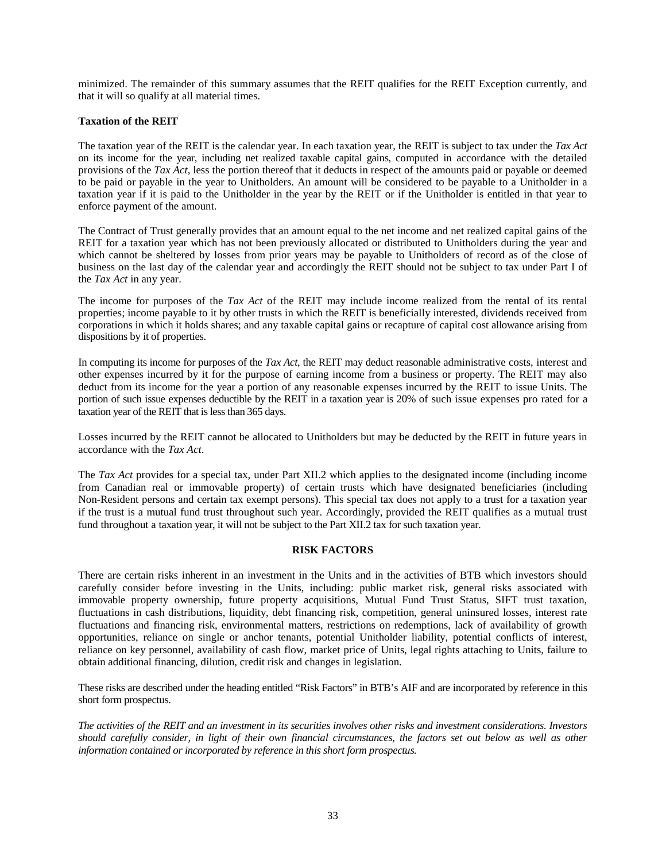minimized. The remainder of this summary assumes that the REIT qualifies for the REIT Exception currently, and that it will so qualify at all material times.

# **Taxation of the REIT**

The taxation year of the REIT is the calendar year. In each taxation year, the REIT is subject to tax under the *Tax Act* on its income for the year, including net realized taxable capital gains, computed in accordance with the detailed provisions of the *Tax Act*, less the portion thereof that it deducts in respect of the amounts paid or payable or deemed to be paid or payable in the year to Unitholders. An amount will be considered to be payable to a Unitholder in a taxation year if it is paid to the Unitholder in the year by the REIT or if the Unitholder is entitled in that year to enforce payment of the amount.

The Contract of Trust generally provides that an amount equal to the net income and net realized capital gains of the REIT for a taxation year which has not been previously allocated or distributed to Unitholders during the year and which cannot be sheltered by losses from prior years may be payable to Unitholders of record as of the close of business on the last day of the calendar year and accordingly the REIT should not be subject to tax under Part I of the *Tax Act* in any year.

The income for purposes of the *Tax Act* of the REIT may include income realized from the rental of its rental properties; income payable to it by other trusts in which the REIT is beneficially interested, dividends received from corporations in which it holds shares; and any taxable capital gains or recapture of capital cost allowance arising from dispositions by it of properties.

In computing its income for purposes of the *Tax Act*, the REIT may deduct reasonable administrative costs, interest and other expenses incurred by it for the purpose of earning income from a business or property. The REIT may also deduct from its income for the year a portion of any reasonable expenses incurred by the REIT to issue Units. The portion of such issue expenses deductible by the REIT in a taxation year is 20% of such issue expenses pro rated for a taxation year of the REIT that is less than 365 days.

Losses incurred by the REIT cannot be allocated to Unitholders but may be deducted by the REIT in future years in accordance with the *Tax Act*.

The *Tax Act* provides for a special tax, under Part XII.2 which applies to the designated income (including income from Canadian real or immovable property) of certain trusts which have designated beneficiaries (including Non-Resident persons and certain tax exempt persons). This special tax does not apply to a trust for a taxation year if the trust is a mutual fund trust throughout such year. Accordingly, provided the REIT qualifies as a mutual trust fund throughout a taxation year, it will not be subject to the Part XII.2 tax for such taxation year.

# **RISK FACTORS**

There are certain risks inherent in an investment in the Units and in the activities of BTB which investors should carefully consider before investing in the Units, including: public market risk, general risks associated with immovable property ownership, future property acquisitions, Mutual Fund Trust Status, SIFT trust taxation, fluctuations in cash distributions, liquidity, debt financing risk, competition, general uninsured losses, interest rate fluctuations and financing risk, environmental matters, restrictions on redemptions, lack of availability of growth opportunities, reliance on single or anchor tenants, potential Unitholder liability, potential conflicts of interest, reliance on key personnel, availability of cash flow, market price of Units, legal rights attaching to Units, failure to obtain additional financing, dilution, credit risk and changes in legislation.

These risks are described under the heading entitled "Risk Factors" in BTB's AIF and are incorporated by reference in this short form prospectus.

*The activities of the REIT and an investment in its securities involves other risks and investment considerations. Investors should carefully consider, in light of their own financial circumstances, the factors set out below as well as other information contained or incorporated by reference in this short form prospectus.*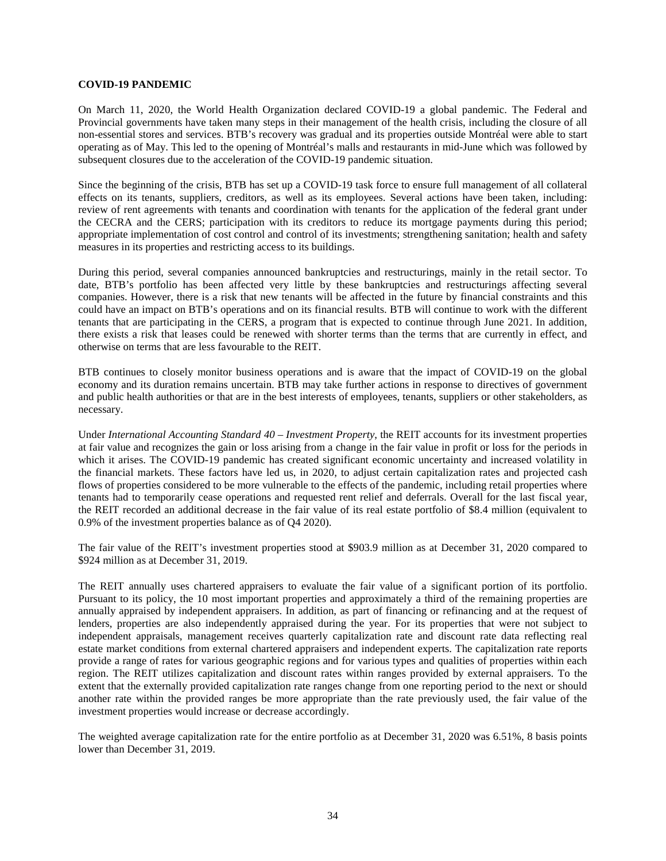#### **COVID-19 PANDEMIC**

On March 11, 2020, the World Health Organization declared COVID-19 a global pandemic. The Federal and Provincial governments have taken many steps in their management of the health crisis, including the closure of all non-essential stores and services. BTB's recovery was gradual and its properties outside Montréal were able to start operating as of May. This led to the opening of Montréal's malls and restaurants in mid-June which was followed by subsequent closures due to the acceleration of the COVID-19 pandemic situation.

Since the beginning of the crisis, BTB has set up a COVID-19 task force to ensure full management of all collateral effects on its tenants, suppliers, creditors, as well as its employees. Several actions have been taken, including: review of rent agreements with tenants and coordination with tenants for the application of the federal grant under the CECRA and the CERS; participation with its creditors to reduce its mortgage payments during this period; appropriate implementation of cost control and control of its investments; strengthening sanitation; health and safety measures in its properties and restricting access to its buildings.

During this period, several companies announced bankruptcies and restructurings, mainly in the retail sector. To date, BTB's portfolio has been affected very little by these bankruptcies and restructurings affecting several companies. However, there is a risk that new tenants will be affected in the future by financial constraints and this could have an impact on BTB's operations and on its financial results. BTB will continue to work with the different tenants that are participating in the CERS, a program that is expected to continue through June 2021. In addition, there exists a risk that leases could be renewed with shorter terms than the terms that are currently in effect, and otherwise on terms that are less favourable to the REIT.

BTB continues to closely monitor business operations and is aware that the impact of COVID-19 on the global economy and its duration remains uncertain. BTB may take further actions in response to directives of government and public health authorities or that are in the best interests of employees, tenants, suppliers or other stakeholders, as necessary.

Under *International Accounting Standard 40 – Investment Property*, the REIT accounts for its investment properties at fair value and recognizes the gain or loss arising from a change in the fair value in profit or loss for the periods in which it arises. The COVID-19 pandemic has created significant economic uncertainty and increased volatility in the financial markets. These factors have led us, in 2020, to adjust certain capitalization rates and projected cash flows of properties considered to be more vulnerable to the effects of the pandemic, including retail properties where tenants had to temporarily cease operations and requested rent relief and deferrals. Overall for the last fiscal year, the REIT recorded an additional decrease in the fair value of its real estate portfolio of \$8.4 million (equivalent to 0.9% of the investment properties balance as of Q4 2020).

The fair value of the REIT's investment properties stood at \$903.9 million as at December 31, 2020 compared to \$924 million as at December 31, 2019.

The REIT annually uses chartered appraisers to evaluate the fair value of a significant portion of its portfolio. Pursuant to its policy, the 10 most important properties and approximately a third of the remaining properties are annually appraised by independent appraisers. In addition, as part of financing or refinancing and at the request of lenders, properties are also independently appraised during the year. For its properties that were not subject to independent appraisals, management receives quarterly capitalization rate and discount rate data reflecting real estate market conditions from external chartered appraisers and independent experts. The capitalization rate reports provide a range of rates for various geographic regions and for various types and qualities of properties within each region. The REIT utilizes capitalization and discount rates within ranges provided by external appraisers. To the extent that the externally provided capitalization rate ranges change from one reporting period to the next or should another rate within the provided ranges be more appropriate than the rate previously used, the fair value of the investment properties would increase or decrease accordingly.

The weighted average capitalization rate for the entire portfolio as at December 31, 2020 was 6.51%, 8 basis points lower than December 31, 2019.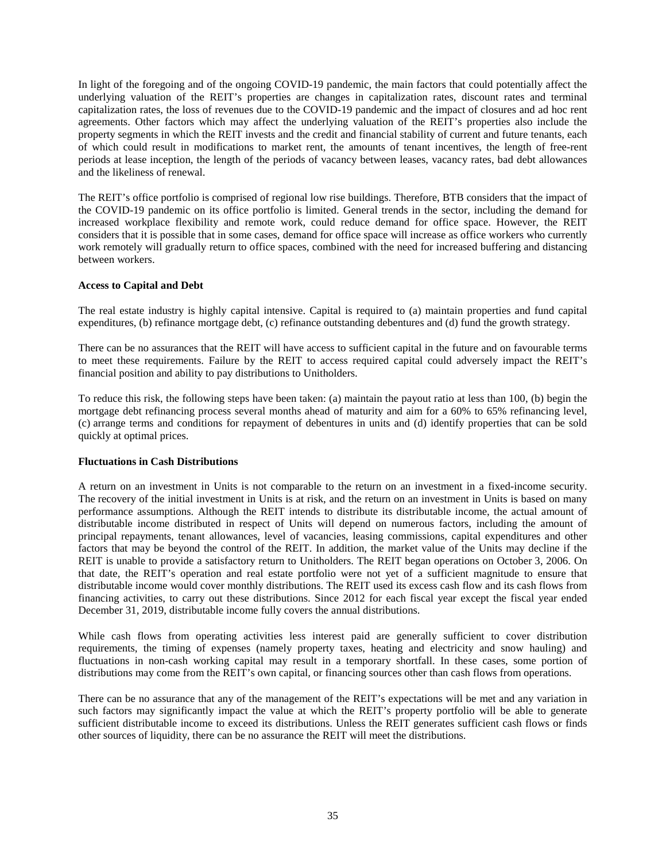In light of the foregoing and of the ongoing COVID-19 pandemic, the main factors that could potentially affect the underlying valuation of the REIT's properties are changes in capitalization rates, discount rates and terminal capitalization rates, the loss of revenues due to the COVID-19 pandemic and the impact of closures and ad hoc rent agreements. Other factors which may affect the underlying valuation of the REIT's properties also include the property segments in which the REIT invests and the credit and financial stability of current and future tenants, each of which could result in modifications to market rent, the amounts of tenant incentives, the length of free-rent periods at lease inception, the length of the periods of vacancy between leases, vacancy rates, bad debt allowances and the likeliness of renewal.

The REIT's office portfolio is comprised of regional low rise buildings. Therefore, BTB considers that the impact of the COVID-19 pandemic on its office portfolio is limited. General trends in the sector, including the demand for increased workplace flexibility and remote work, could reduce demand for office space. However, the REIT considers that it is possible that in some cases, demand for office space will increase as office workers who currently work remotely will gradually return to office spaces, combined with the need for increased buffering and distancing between workers.

# **Access to Capital and Debt**

The real estate industry is highly capital intensive. Capital is required to (a) maintain properties and fund capital expenditures, (b) refinance mortgage debt, (c) refinance outstanding debentures and (d) fund the growth strategy.

There can be no assurances that the REIT will have access to sufficient capital in the future and on favourable terms to meet these requirements. Failure by the REIT to access required capital could adversely impact the REIT's financial position and ability to pay distributions to Unitholders.

To reduce this risk, the following steps have been taken: (a) maintain the payout ratio at less than 100, (b) begin the mortgage debt refinancing process several months ahead of maturity and aim for a 60% to 65% refinancing level, (c) arrange terms and conditions for repayment of debentures in units and (d) identify properties that can be sold quickly at optimal prices.

# **Fluctuations in Cash Distributions**

A return on an investment in Units is not comparable to the return on an investment in a fixed-income security. The recovery of the initial investment in Units is at risk, and the return on an investment in Units is based on many performance assumptions. Although the REIT intends to distribute its distributable income, the actual amount of distributable income distributed in respect of Units will depend on numerous factors, including the amount of principal repayments, tenant allowances, level of vacancies, leasing commissions, capital expenditures and other factors that may be beyond the control of the REIT. In addition, the market value of the Units may decline if the REIT is unable to provide a satisfactory return to Unitholders. The REIT began operations on October 3, 2006. On that date, the REIT's operation and real estate portfolio were not yet of a sufficient magnitude to ensure that distributable income would cover monthly distributions. The REIT used its excess cash flow and its cash flows from financing activities, to carry out these distributions. Since 2012 for each fiscal year except the fiscal year ended December 31, 2019, distributable income fully covers the annual distributions.

While cash flows from operating activities less interest paid are generally sufficient to cover distribution requirements, the timing of expenses (namely property taxes, heating and electricity and snow hauling) and fluctuations in non-cash working capital may result in a temporary shortfall. In these cases, some portion of distributions may come from the REIT's own capital, or financing sources other than cash flows from operations.

There can be no assurance that any of the management of the REIT's expectations will be met and any variation in such factors may significantly impact the value at which the REIT's property portfolio will be able to generate sufficient distributable income to exceed its distributions. Unless the REIT generates sufficient cash flows or finds other sources of liquidity, there can be no assurance the REIT will meet the distributions.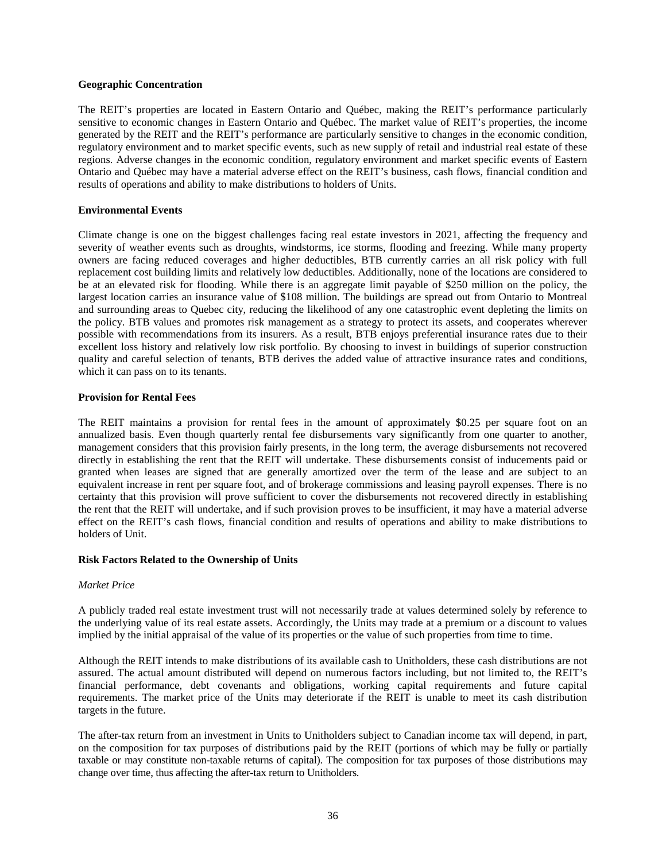#### **Geographic Concentration**

The REIT's properties are located in Eastern Ontario and Québec, making the REIT's performance particularly sensitive to economic changes in Eastern Ontario and Québec. The market value of REIT's properties, the income generated by the REIT and the REIT's performance are particularly sensitive to changes in the economic condition, regulatory environment and to market specific events, such as new supply of retail and industrial real estate of these regions. Adverse changes in the economic condition, regulatory environment and market specific events of Eastern Ontario and Québec may have a material adverse effect on the REIT's business, cash flows, financial condition and results of operations and ability to make distributions to holders of Units.

# **Environmental Events**

Climate change is one on the biggest challenges facing real estate investors in 2021, affecting the frequency and severity of weather events such as droughts, windstorms, ice storms, flooding and freezing. While many property owners are facing reduced coverages and higher deductibles, BTB currently carries an all risk policy with full replacement cost building limits and relatively low deductibles. Additionally, none of the locations are considered to be at an elevated risk for flooding. While there is an aggregate limit payable of \$250 million on the policy, the largest location carries an insurance value of \$108 million. The buildings are spread out from Ontario to Montreal and surrounding areas to Quebec city, reducing the likelihood of any one catastrophic event depleting the limits on the policy. BTB values and promotes risk management as a strategy to protect its assets, and cooperates wherever possible with recommendations from its insurers. As a result, BTB enjoys preferential insurance rates due to their excellent loss history and relatively low risk portfolio. By choosing to invest in buildings of superior construction quality and careful selection of tenants, BTB derives the added value of attractive insurance rates and conditions, which it can pass on to its tenants.

# **Provision for Rental Fees**

The REIT maintains a provision for rental fees in the amount of approximately \$0.25 per square foot on an annualized basis. Even though quarterly rental fee disbursements vary significantly from one quarter to another, management considers that this provision fairly presents, in the long term, the average disbursements not recovered directly in establishing the rent that the REIT will undertake. These disbursements consist of inducements paid or granted when leases are signed that are generally amortized over the term of the lease and are subject to an equivalent increase in rent per square foot, and of brokerage commissions and leasing payroll expenses. There is no certainty that this provision will prove sufficient to cover the disbursements not recovered directly in establishing the rent that the REIT will undertake, and if such provision proves to be insufficient, it may have a material adverse effect on the REIT's cash flows, financial condition and results of operations and ability to make distributions to holders of Unit.

# **Risk Factors Related to the Ownership of Units**

# *Market Price*

A publicly traded real estate investment trust will not necessarily trade at values determined solely by reference to the underlying value of its real estate assets. Accordingly, the Units may trade at a premium or a discount to values implied by the initial appraisal of the value of its properties or the value of such properties from time to time.

Although the REIT intends to make distributions of its available cash to Unitholders, these cash distributions are not assured. The actual amount distributed will depend on numerous factors including, but not limited to, the REIT's financial performance, debt covenants and obligations, working capital requirements and future capital requirements. The market price of the Units may deteriorate if the REIT is unable to meet its cash distribution targets in the future.

The after-tax return from an investment in Units to Unitholders subject to Canadian income tax will depend, in part, on the composition for tax purposes of distributions paid by the REIT (portions of which may be fully or partially taxable or may constitute non-taxable returns of capital). The composition for tax purposes of those distributions may change over time, thus affecting the after-tax return to Unitholders.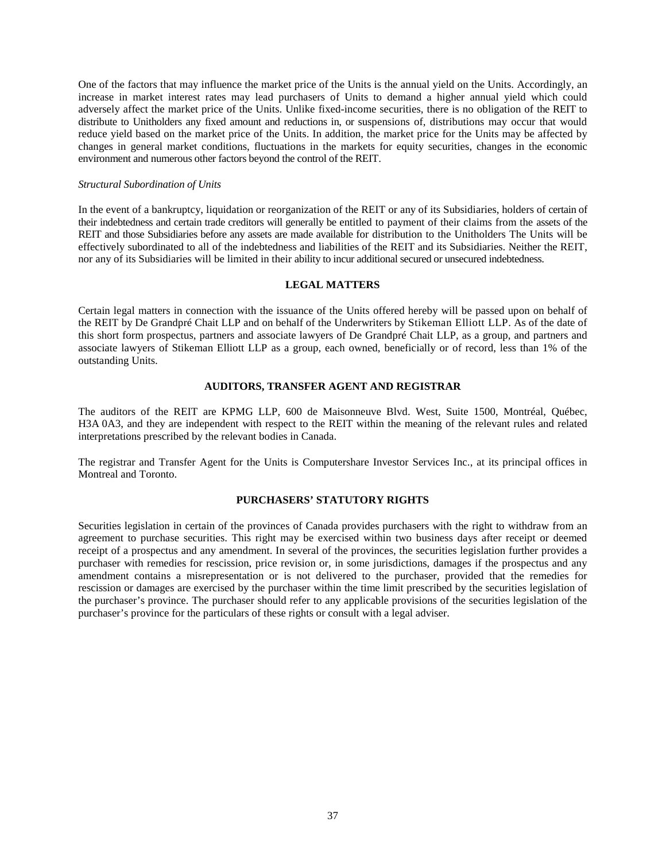One of the factors that may influence the market price of the Units is the annual yield on the Units. Accordingly, an increase in market interest rates may lead purchasers of Units to demand a higher annual yield which could adversely affect the market price of the Units. Unlike fixed-income securities, there is no obligation of the REIT to distribute to Unitholders any fixed amount and reductions in, or suspensions of, distributions may occur that would reduce yield based on the market price of the Units. In addition, the market price for the Units may be affected by changes in general market conditions, fluctuations in the markets for equity securities, changes in the economic environment and numerous other factors beyond the control of the REIT.

#### *Structural Subordination of Units*

In the event of a bankruptcy, liquidation or reorganization of the REIT or any of its Subsidiaries, holders of certain of their indebtedness and certain trade creditors will generally be entitled to payment of their claims from the assets of the REIT and those Subsidiaries before any assets are made available for distribution to the Unitholders The Units will be effectively subordinated to all of the indebtedness and liabilities of the REIT and its Subsidiaries. Neither the REIT, nor any of its Subsidiaries will be limited in their ability to incur additional secured or unsecured indebtedness.

#### **LEGAL MATTERS**

Certain legal matters in connection with the issuance of the Units offered hereby will be passed upon on behalf of the REIT by De Grandpré Chait LLP and on behalf of the Underwriters by Stikeman Elliott LLP. As of the date of this short form prospectus, partners and associate lawyers of De Grandpré Chait LLP, as a group, and partners and associate lawyers of Stikeman Elliott LLP as a group, each owned, beneficially or of record, less than 1% of the outstanding Units.

# **AUDITORS, TRANSFER AGENT AND REGISTRAR**

The auditors of the REIT are KPMG LLP, 600 de Maisonneuve Blvd. West, Suite 1500, Montréal, Québec, H3A 0A3, and they are independent with respect to the REIT within the meaning of the relevant rules and related interpretations prescribed by the relevant bodies in Canada.

The registrar and Transfer Agent for the Units is Computershare Investor Services Inc., at its principal offices in Montreal and Toronto.

# **PURCHASERS' STATUTORY RIGHTS**

Securities legislation in certain of the provinces of Canada provides purchasers with the right to withdraw from an agreement to purchase securities. This right may be exercised within two business days after receipt or deemed receipt of a prospectus and any amendment. In several of the provinces, the securities legislation further provides a purchaser with remedies for rescission, price revision or, in some jurisdictions, damages if the prospectus and any amendment contains a misrepresentation or is not delivered to the purchaser, provided that the remedies for rescission or damages are exercised by the purchaser within the time limit prescribed by the securities legislation of the purchaser's province. The purchaser should refer to any applicable provisions of the securities legislation of the purchaser's province for the particulars of these rights or consult with a legal adviser.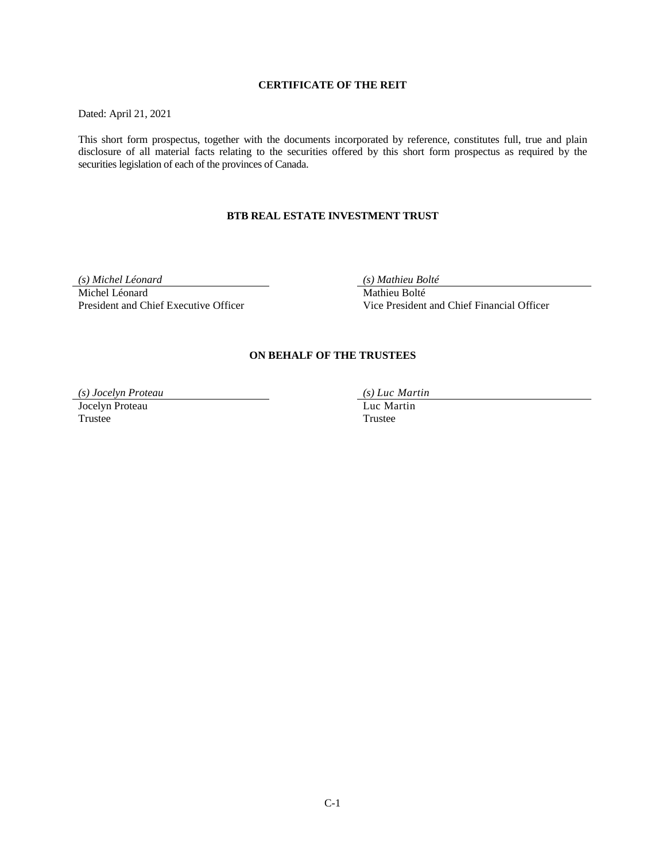# **CERTIFICATE OF THE REIT**

Dated: April 21, 2021

This short form prospectus, together with the documents incorporated by reference, constitutes full, true and plain disclosure of all material facts relating to the securities offered by this short form prospectus as required by the securities legislation of each of the provinces of Canada.

# **BTB REAL ESTATE INVESTMENT TRUST**

*(s) Michel Léonard (s) Mathieu Bolté* 

Michel Léonard<br>
President and Chief Executive Officer<br>
Vice President

Vice President and Chief Financial Officer

# **ON BEHALF OF THE TRUSTEES**

*(s) Jocelyn Proteau (s) Luc Martin* 

Jocelyn Proteau Luc Martin

**Trustee**